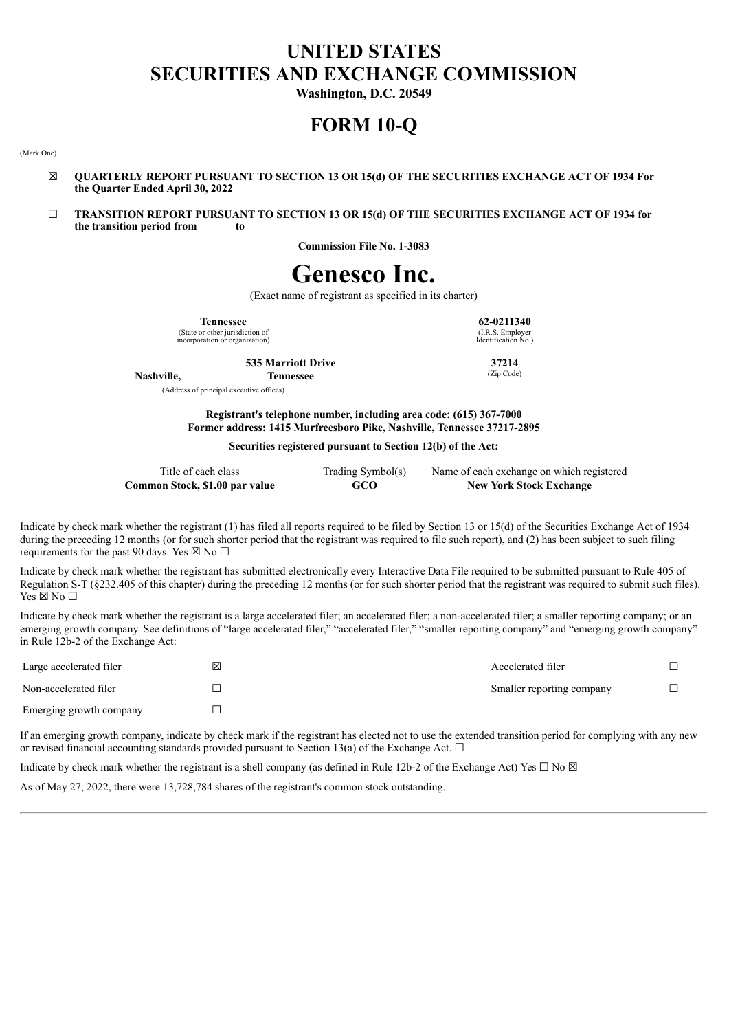# **UNITED STATES SECURITIES AND EXCHANGE COMMISSION**

**Washington, D.C. 20549**

# **FORM 10-Q**

(Mark One)

- ☒ **QUARTERLY REPORT PURSUANT TO SECTION 13 OR 15(d) OF THE SECURITIES EXCHANGE ACT OF 1934 For the Quarter Ended April 30, 2022**
- ☐ **TRANSITION REPORT PURSUANT TO SECTION 13 OR 15(d) OF THE SECURITIES EXCHANGE ACT OF 1934 for the transition period from to**

**Commission File No. 1-3083**

# **Genesco Inc.**

(Exact name of registrant as specified in its charter)

**Tennessee 62-0211340** (State or other jurisdiction of incorporation or organization)

**Nashville, Tennessee**

(I.R.S. Employer Identification No.) **535 Marriott Drive 37214**

(Zip Code)

(Address of principal executive offices)

**Registrant's telephone number, including area code: (615) 367-7000 Former address: 1415 Murfreesboro Pike, Nashville, Tennessee 37217-2895**

**Securities registered pursuant to Section 12(b) of the Act:**

| Title of each class            | Trading Symbol(s) | Name of each exchange on which registered |
|--------------------------------|-------------------|-------------------------------------------|
| Common Stock, \$1.00 par value | <b>GCO</b>        | <b>New York Stock Exchange</b>            |

Indicate by check mark whether the registrant (1) has filed all reports required to be filed by Section 13 or 15(d) of the Securities Exchange Act of 1934 during the preceding 12 months (or for such shorter period that the registrant was required to file such report), and (2) has been subject to such filing requirements for the past 90 days. Yes  $\boxtimes$  No  $\Box$ 

Indicate by check mark whether the registrant has submitted electronically every Interactive Data File required to be submitted pursuant to Rule 405 of Regulation S-T (§232.405 of this chapter) during the preceding 12 months (or for such shorter period that the registrant was required to submit such files). Yes ⊠ No □

Indicate by check mark whether the registrant is a large accelerated filer; an accelerated filer; a non-accelerated filer; a smaller reporting company; or an emerging growth company. See definitions of "large accelerated filer," "accelerated filer," "smaller reporting company" and "emerging growth company" in Rule 12b-2 of the Exchange Act:

| Large accelerated filer | ⊠ | Accelerated filer         |  |
|-------------------------|---|---------------------------|--|
| Non-accelerated filer   |   | Smaller reporting company |  |
| Emerging growth company |   |                           |  |

If an emerging growth company, indicate by check mark if the registrant has elected not to use the extended transition period for complying with any new or revised financial accounting standards provided pursuant to Section 13(a) of the Exchange Act.  $\Box$ 

Indicate by check mark whether the registrant is a shell company (as defined in Rule 12b-2 of the Exchange Act) Yes  $\Box$  No  $\boxtimes$ 

As of May 27, 2022, there were 13,728,784 shares of the registrant's common stock outstanding.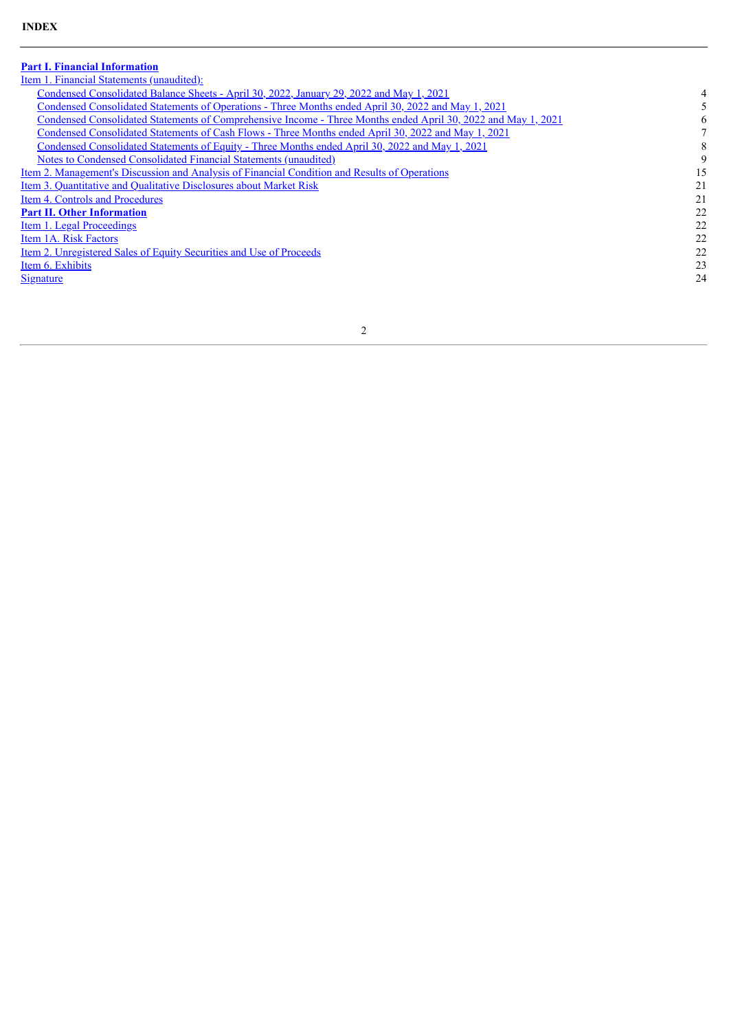# **Part I. Financial [Information](#page-3-0)**

| Item 1. Financial Statements (unaudited):                                                                     |    |
|---------------------------------------------------------------------------------------------------------------|----|
| Condensed Consolidated Balance Sheets - April 30, 2022, January 29, 2022 and May 1, 2021                      | 4  |
| Condensed Consolidated Statements of Operations - Three Months ended April 30, 2022 and May 1, 2021           |    |
| Condensed Consolidated Statements of Comprehensive Income - Three Months ended April 30, 2022 and May 1, 2021 | 6  |
| Condensed Consolidated Statements of Cash Flows - Three Months ended April 30, 2022 and May 1, 2021           |    |
| <u>Condensed Consolidated Statements of Equity - Three Months ended April 30, 2022 and May 1, 2021</u>        | 8  |
| <b>Notes to Condensed Consolidated Financial Statements (unaudited)</b>                                       | 9  |
| <u>Item 2. Management's Discussion and Analysis of Financial Condition and Results of Operations</u>          | 15 |
| Item 3. Quantitative and Qualitative Disclosures about Market Risk                                            | 21 |
| Item 4. Controls and Procedures                                                                               | 21 |
| <b>Part II. Other Information</b>                                                                             | 22 |
| Item 1. Legal Proceedings                                                                                     | 22 |
| Item 1A. Risk Factors                                                                                         | 22 |
| <u>Item 2. Unregistered Sales of Equity Securities and Use of Proceeds</u>                                    | 22 |
| Item 6. Exhibits                                                                                              | 23 |
| <b>Signature</b>                                                                                              | 24 |
|                                                                                                               |    |
|                                                                                                               |    |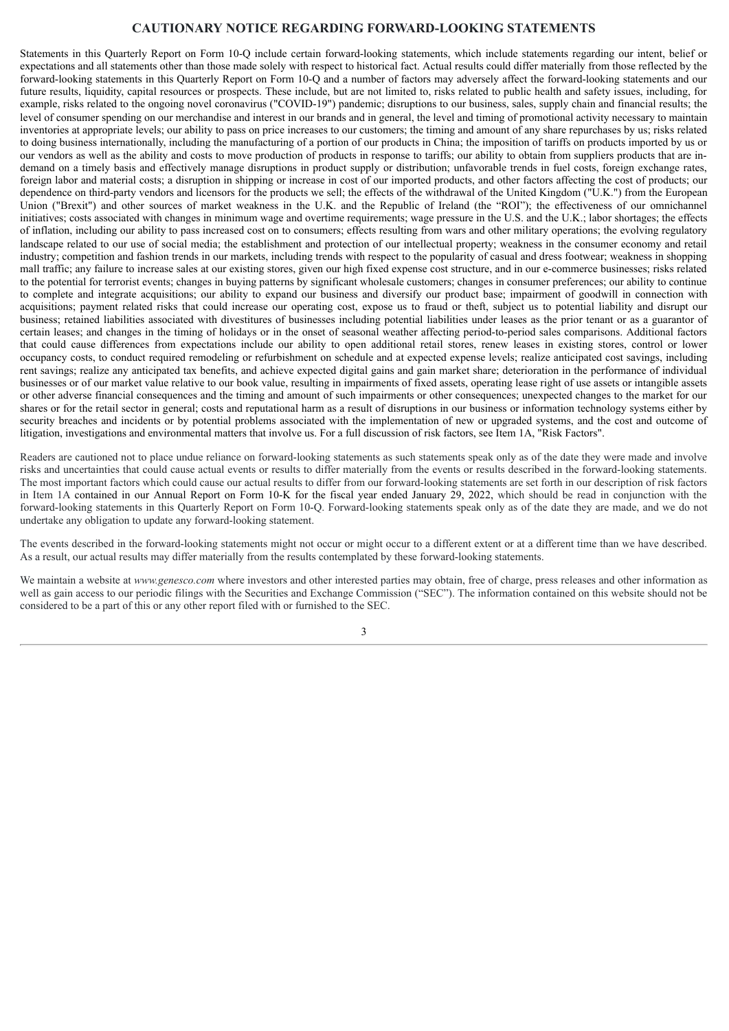# **CAUTIONARY NOTICE REGARDING FORWARD-LOOKING STATEMENTS**

Statements in this Quarterly Report on Form 10-Q include certain forward-looking statements, which include statements regarding our intent, belief or expectations and all statements other than those made solely with respect to historical fact. Actual results could differ materially from those reflected by the forward-looking statements in this Quarterly Report on Form 10-Q and a number of factors may adversely affect the forward-looking statements and our future results, liquidity, capital resources or prospects. These include, but are not limited to, risks related to public health and safety issues, including, for example, risks related to the ongoing novel coronavirus ("COVID-19") pandemic; disruptions to our business, sales, supply chain and financial results; the level of consumer spending on our merchandise and interest in our brands and in general, the level and timing of promotional activity necessary to maintain inventories at appropriate levels; our ability to pass on price increases to our customers; the timing and amount of any share repurchases by us; risks related to doing business internationally, including the manufacturing of a portion of our products in China; the imposition of tariffs on products imported by us or our vendors as well as the ability and costs to move production of products in response to tariffs; our ability to obtain from suppliers products that are indemand on a timely basis and effectively manage disruptions in product supply or distribution; unfavorable trends in fuel costs, foreign exchange rates, foreign labor and material costs; a disruption in shipping or increase in cost of our imported products, and other factors affecting the cost of products; our dependence on third-party vendors and licensors for the products we sell; the effects of the withdrawal of the United Kingdom ("U.K.") from the European Union ("Brexit") and other sources of market weakness in the U.K. and the Republic of Ireland (the "ROI"); the effectiveness of our omnichannel initiatives; costs associated with changes in minimum wage and overtime requirements; wage pressure in the U.S. and the U.K.; labor shortages; the effects of inflation, including our ability to pass increased cost on to consumers; effects resulting from wars and other military operations; the evolving regulatory landscape related to our use of social media; the establishment and protection of our intellectual property; weakness in the consumer economy and retail industry; competition and fashion trends in our markets, including trends with respect to the popularity of casual and dress footwear; weakness in shopping mall traffic; any failure to increase sales at our existing stores, given our high fixed expense cost structure, and in our e-commerce businesses; risks related to the potential for terrorist events; changes in buying patterns by significant wholesale customers; changes in consumer preferences; our ability to continue to complete and integrate acquisitions; our ability to expand our business and diversify our product base; impairment of goodwill in connection with acquisitions; payment related risks that could increase our operating cost, expose us to fraud or theft, subject us to potential liability and disrupt our business; retained liabilities associated with divestitures of businesses including potential liabilities under leases as the prior tenant or as a guarantor of certain leases; and changes in the timing of holidays or in the onset of seasonal weather affecting period-to-period sales comparisons. Additional factors that could cause differences from expectations include our ability to open additional retail stores, renew leases in existing stores, control or lower occupancy costs, to conduct required remodeling or refurbishment on schedule and at expected expense levels; realize anticipated cost savings, including rent savings; realize any anticipated tax benefits, and achieve expected digital gains and gain market share; deterioration in the performance of individual businesses or of our market value relative to our book value, resulting in impairments of fixed assets, operating lease right of use assets or intangible assets or other adverse financial consequences and the timing and amount of such impairments or other consequences; unexpected changes to the market for our shares or for the retail sector in general; costs and reputational harm as a result of disruptions in our business or information technology systems either by security breaches and incidents or by potential problems associated with the implementation of new or upgraded systems, and the cost and outcome of litigation, investigations and environmental matters that involve us. For a full discussion of risk factors, see Item 1A, "Risk Factors".

Readers are cautioned not to place undue reliance on forward-looking statements as such statements speak only as of the date they were made and involve risks and uncertainties that could cause actual events or results to differ materially from the events or results described in the forward-looking statements. The most important factors which could cause our actual results to differ from our forward-looking statements are set forth in our description of risk factors in Item 1A contained in our Annual Report on Form 10-K for the fiscal year ended January 29, 2022, which should be read in conjunction with the forward-looking statements in this Quarterly Report on Form 10-Q. Forward-looking statements speak only as of the date they are made, and we do not undertake any obligation to update any forward-looking statement.

The events described in the forward-looking statements might not occur or might occur to a different extent or at a different time than we have described. As a result, our actual results may differ materially from the results contemplated by these forward-looking statements.

We maintain a website at *www.genesco.com* where investors and other interested parties may obtain, free of charge, press releases and other information as well as gain access to our periodic filings with the Securities and Exchange Commission ("SEC"). The information contained on this website should not be considered to be a part of this or any other report filed with or furnished to the SEC.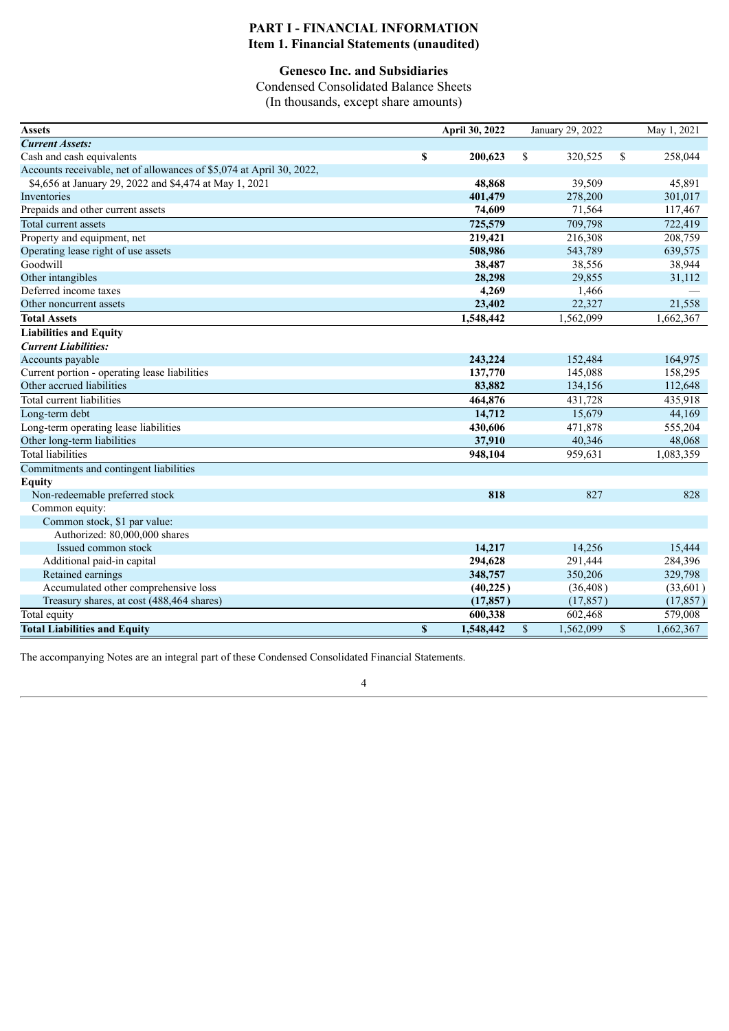# **PART I - FINANCIAL INFORMATION Item 1. Financial Statements (unaudited)**

# **Genesco Inc. and Subsidiaries**

Condensed Consolidated Balance Sheets (In thousands, except share amounts)

<span id="page-3-2"></span><span id="page-3-1"></span><span id="page-3-0"></span>

| <b>Assets</b>                                                        |             | April 30, 2022 | January 29, 2022  |              | May 1, 2021 |
|----------------------------------------------------------------------|-------------|----------------|-------------------|--------------|-------------|
| <b>Current Assets:</b>                                               |             |                |                   |              |             |
| Cash and cash equivalents                                            | \$          | 200,623        | \$<br>320,525     | \$           | 258,044     |
| Accounts receivable, net of allowances of \$5,074 at April 30, 2022, |             |                |                   |              |             |
| \$4,656 at January 29, 2022 and \$4,474 at May 1, 2021               |             | 48,868         | 39,509            |              | 45,891      |
| Inventories                                                          |             | 401,479        | 278,200           |              | 301,017     |
| Prepaids and other current assets                                    |             | 74,609         | 71,564            |              | 117,467     |
| Total current assets                                                 |             | 725,579        | 709,798           |              | 722,419     |
| Property and equipment, net                                          |             | 219,421        | 216,308           |              | 208,759     |
| Operating lease right of use assets                                  |             | 508,986        | 543,789           |              | 639,575     |
| Goodwill                                                             |             | 38,487         | 38,556            |              | 38,944      |
| Other intangibles                                                    |             | 28,298         | 29,855            |              | 31,112      |
| Deferred income taxes                                                |             | 4,269          | 1,466             |              |             |
| Other noncurrent assets                                              |             | 23,402         | 22,327            |              | 21,558      |
| <b>Total Assets</b>                                                  |             | 1,548,442      | 1,562,099         |              | 1,662,367   |
| <b>Liabilities and Equity</b>                                        |             |                |                   |              |             |
| <b>Current Liabilities:</b>                                          |             |                |                   |              |             |
| Accounts payable                                                     |             | 243,224        | 152,484           |              | 164,975     |
| Current portion - operating lease liabilities                        |             | 137,770        | 145,088           |              | 158,295     |
| Other accrued liabilities                                            |             | 83,882         | 134,156           |              | 112,648     |
| Total current liabilities                                            |             | 464,876        | 431,728           |              | 435,918     |
| Long-term debt                                                       |             | 14,712         | 15,679            |              | 44,169      |
| Long-term operating lease liabilities                                |             | 430,606        | 471,878           |              | 555,204     |
| Other long-term liabilities                                          |             | 37,910         | 40,346            |              | 48,068      |
| <b>Total liabilities</b>                                             |             | 948,104        | 959,631           |              | 1,083,359   |
| Commitments and contingent liabilities                               |             |                |                   |              |             |
| <b>Equity</b>                                                        |             |                |                   |              |             |
| Non-redeemable preferred stock                                       |             | 818            | 827               |              | 828         |
| Common equity:                                                       |             |                |                   |              |             |
| Common stock, \$1 par value:                                         |             |                |                   |              |             |
| Authorized: 80,000,000 shares                                        |             |                |                   |              |             |
| Issued common stock                                                  |             | 14,217         | 14,256            |              | 15,444      |
| Additional paid-in capital                                           |             | 294,628        | 291,444           |              | 284,396     |
| Retained earnings                                                    |             | 348,757        | 350,206           |              | 329,798     |
| Accumulated other comprehensive loss                                 |             | (40, 225)      | (36, 408)         |              | (33,601)    |
| Treasury shares, at cost (488,464 shares)                            |             | (17, 857)      | (17, 857)         |              | (17, 857)   |
| Total equity                                                         |             | 600,338        | 602,468           |              | 579,008     |
| <b>Total Liabilities and Equity</b>                                  | $\mathbb S$ | 1,548,442      | $\$$<br>1,562,099 | $\mathbb{S}$ | 1,662,367   |

The accompanying Notes are an integral part of these Condensed Consolidated Financial Statements.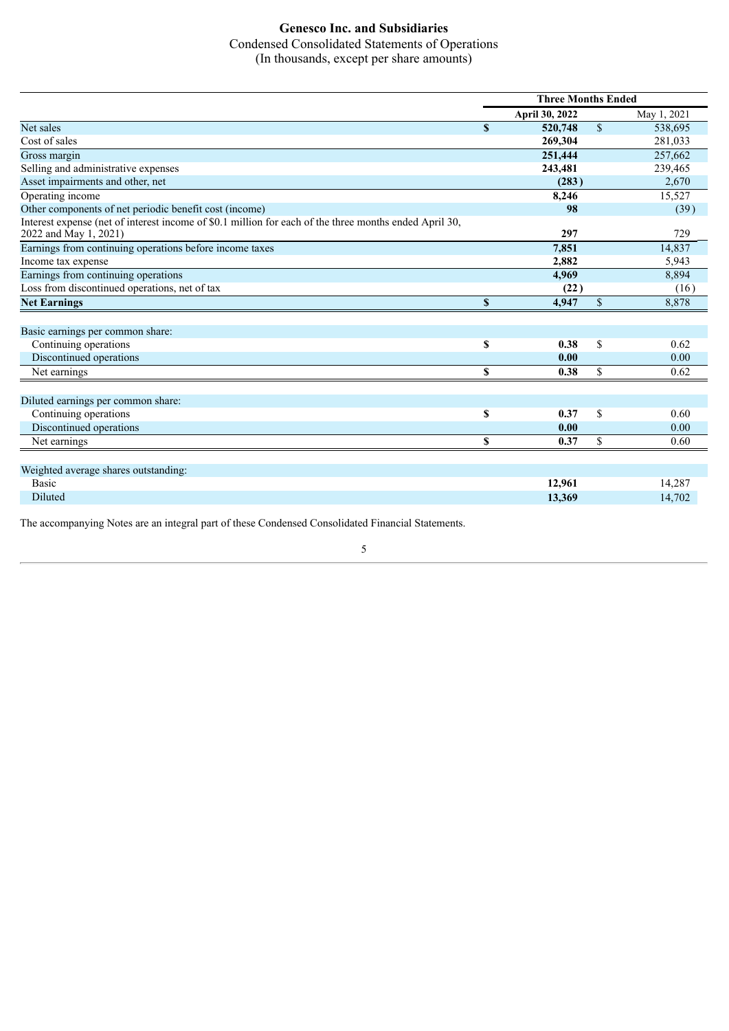# **Genesco Inc. and Subsidiaries** Condensed Consolidated Statements of Operations (In thousands, except per share amounts)

<span id="page-4-0"></span>

|                                                                                                                                 | <b>Three Months Ended</b> |                |              |             |  |  |
|---------------------------------------------------------------------------------------------------------------------------------|---------------------------|----------------|--------------|-------------|--|--|
|                                                                                                                                 |                           | April 30, 2022 |              | May 1, 2021 |  |  |
| Net sales                                                                                                                       | $\mathbf S$               | 520,748        | $\mathbb{S}$ | 538,695     |  |  |
| Cost of sales                                                                                                                   |                           | 269,304        |              | 281,033     |  |  |
| Gross margin                                                                                                                    |                           | 251,444        |              | 257,662     |  |  |
| Selling and administrative expenses                                                                                             |                           | 243,481        |              | 239,465     |  |  |
| Asset impairments and other, net                                                                                                |                           | (283)          |              | 2,670       |  |  |
| Operating income                                                                                                                |                           | 8,246          |              | 15,527      |  |  |
| Other components of net periodic benefit cost (income)                                                                          |                           | 98             |              | (39)        |  |  |
| Interest expense (net of interest income of \$0.1 million for each of the three months ended April 30,<br>2022 and May 1, 2021) |                           | 297            |              | 729         |  |  |
| Earnings from continuing operations before income taxes                                                                         |                           | 7,851          |              | 14,837      |  |  |
| Income tax expense                                                                                                              |                           | 2,882          |              | 5,943       |  |  |
| Earnings from continuing operations                                                                                             |                           | 4,969          |              | 8,894       |  |  |
| Loss from discontinued operations, net of tax                                                                                   |                           | (22)           |              | (16)        |  |  |
| <b>Net Earnings</b>                                                                                                             | \$                        | 4,947          | $\mathbb{S}$ | 8,878       |  |  |
|                                                                                                                                 |                           |                |              |             |  |  |
| Basic earnings per common share:                                                                                                |                           |                |              |             |  |  |
| Continuing operations                                                                                                           | S                         | 0.38           | \$.          | 0.62        |  |  |
| Discontinued operations                                                                                                         |                           | 0.00           |              | 0.00        |  |  |
| Net earnings                                                                                                                    | $\mathbf S$               | 0.38           | $\mathbb{S}$ | 0.62        |  |  |
| Diluted earnings per common share:                                                                                              |                           |                |              |             |  |  |
| Continuing operations                                                                                                           | \$                        | 0.37           | \$           | 0.60        |  |  |
| Discontinued operations                                                                                                         |                           | 0.00           |              | 0.00        |  |  |
| Net earnings                                                                                                                    | S                         | 0.37           | \$           | 0.60        |  |  |
|                                                                                                                                 |                           |                |              |             |  |  |
| Weighted average shares outstanding:                                                                                            |                           |                |              |             |  |  |
| Basic                                                                                                                           |                           | 12,961         |              | 14,287      |  |  |
| Diluted                                                                                                                         |                           | 13,369         |              | 14,702      |  |  |
|                                                                                                                                 |                           |                |              |             |  |  |

The accompanying Notes are an integral part of these Condensed Consolidated Financial Statements.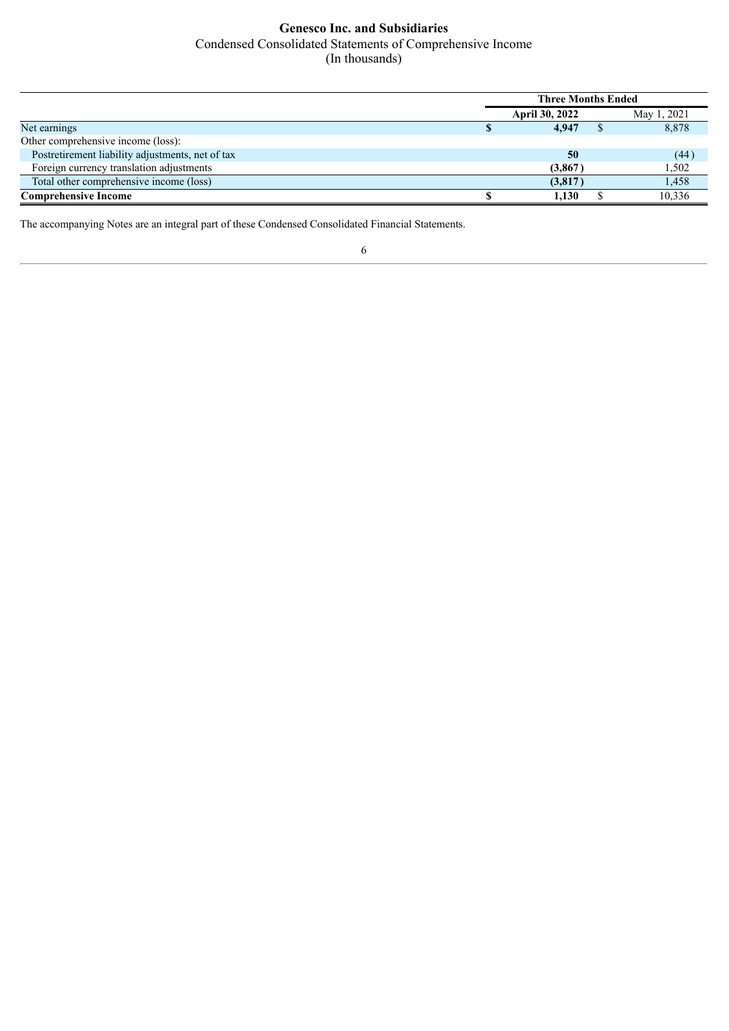# **Genesco Inc. and Subsidiaries** Condensed Consolidated Statements of Comprehensive Income (In thousands)

<span id="page-5-0"></span>

|                                                  | <b>Three Months Ended</b> |  |             |  |  |  |  |
|--------------------------------------------------|---------------------------|--|-------------|--|--|--|--|
|                                                  | <b>April 30, 2022</b>     |  | May 1, 2021 |  |  |  |  |
| Net earnings                                     | 4.947                     |  | 8,878       |  |  |  |  |
| Other comprehensive income (loss):               |                           |  |             |  |  |  |  |
| Postretirement liability adjustments, net of tax | 50                        |  | (44)        |  |  |  |  |
| Foreign currency translation adjustments         | (3,867)                   |  | 1,502       |  |  |  |  |
| Total other comprehensive income (loss)          | (3,817)                   |  | 1,458       |  |  |  |  |
| <b>Comprehensive Income</b>                      | 1,130                     |  | 10.336      |  |  |  |  |

The accompanying Notes are an integral part of these Condensed Consolidated Financial Statements.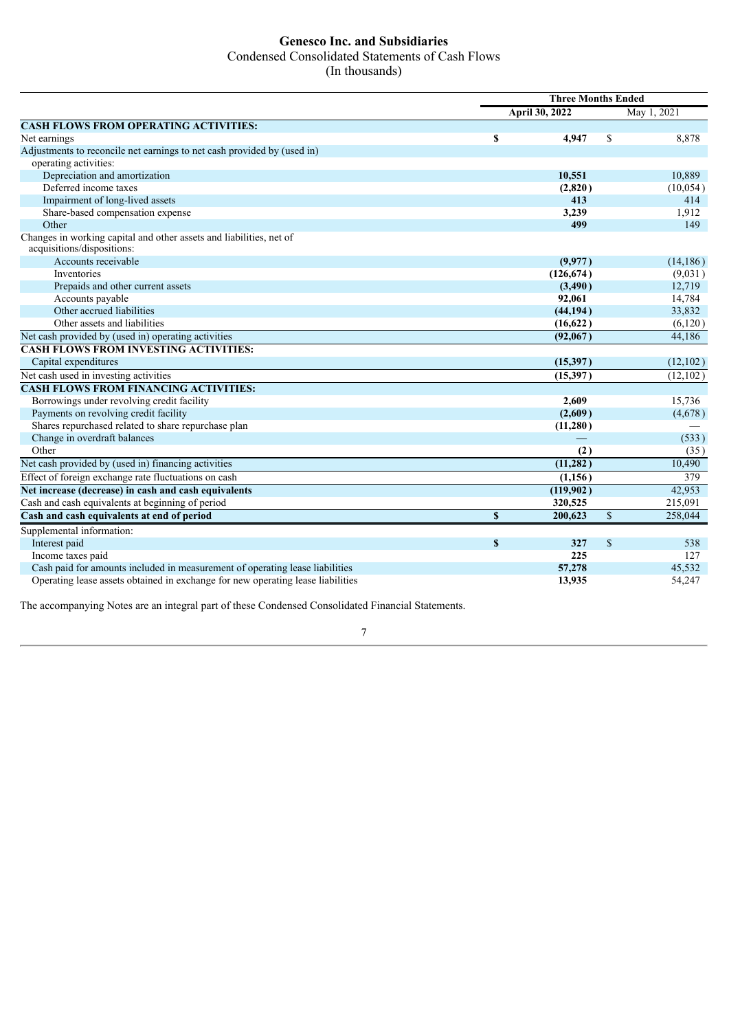# **Genesco Inc. and Subsidiaries**

Condensed Consolidated Statements of Cash Flows

(In thousands)

<span id="page-6-0"></span>

|                                                                                                   |             | <b>Three Months Ended</b> |             |  |  |  |  |
|---------------------------------------------------------------------------------------------------|-------------|---------------------------|-------------|--|--|--|--|
|                                                                                                   |             | April 30, 2022            | May 1, 2021 |  |  |  |  |
| <b>CASH FLOWS FROM OPERATING ACTIVITIES:</b>                                                      |             |                           |             |  |  |  |  |
| Net earnings                                                                                      | \$          | \$<br>4,947               | 8,878       |  |  |  |  |
| Adjustments to reconcile net earnings to net cash provided by (used in)                           |             |                           |             |  |  |  |  |
| operating activities:                                                                             |             |                           |             |  |  |  |  |
| Depreciation and amortization                                                                     |             | 10,551                    | 10,889      |  |  |  |  |
| Deferred income taxes                                                                             |             | (2,820)                   | (10, 054)   |  |  |  |  |
| Impairment of long-lived assets                                                                   |             | 413                       | 414         |  |  |  |  |
| Share-based compensation expense                                                                  |             | 3,239                     | 1,912       |  |  |  |  |
| Other                                                                                             |             | 499                       | 149         |  |  |  |  |
| Changes in working capital and other assets and liabilities, net of<br>acquisitions/dispositions: |             |                           |             |  |  |  |  |
| Accounts receivable                                                                               |             | (9,977)                   | (14, 186)   |  |  |  |  |
| Inventories                                                                                       |             | (126, 674)                | (9,031)     |  |  |  |  |
| Prepaids and other current assets                                                                 |             | (3,490)                   | 12,719      |  |  |  |  |
| Accounts payable                                                                                  |             | 92,061                    | 14,784      |  |  |  |  |
| Other accrued liabilities                                                                         |             | (44, 194)                 | 33,832      |  |  |  |  |
| Other assets and liabilities                                                                      |             | (16,622)                  | (6,120)     |  |  |  |  |
| Net cash provided by (used in) operating activities                                               |             | (92,067)                  | 44,186      |  |  |  |  |
| <b>CASH FLOWS FROM INVESTING ACTIVITIES:</b>                                                      |             |                           |             |  |  |  |  |
| Capital expenditures                                                                              |             | (15,397)                  | (12, 102)   |  |  |  |  |
| Net cash used in investing activities                                                             |             | (15,397)                  | (12, 102)   |  |  |  |  |
| <b>CASH FLOWS FROM FINANCING ACTIVITIES:</b>                                                      |             |                           |             |  |  |  |  |
| Borrowings under revolving credit facility                                                        |             | 2,609                     | 15,736      |  |  |  |  |
| Payments on revolving credit facility                                                             |             | (2,609)                   | (4,678)     |  |  |  |  |
| Shares repurchased related to share repurchase plan                                               |             | (11,280)                  |             |  |  |  |  |
| Change in overdraft balances                                                                      |             |                           | (533)       |  |  |  |  |
| Other                                                                                             |             | (2)                       | (35)        |  |  |  |  |
| Net cash provided by (used in) financing activities                                               |             | (11, 282)                 | 10,490      |  |  |  |  |
| Effect of foreign exchange rate fluctuations on cash                                              |             | (1, 156)                  | 379         |  |  |  |  |
| Net increase (decrease) in cash and cash equivalents                                              |             | (119,902)                 | 42,953      |  |  |  |  |
| Cash and cash equivalents at beginning of period                                                  |             | 320,525                   | 215,091     |  |  |  |  |
| Cash and cash equivalents at end of period                                                        | S           | $\mathbb{S}$<br>200,623   | 258,044     |  |  |  |  |
| Supplemental information:                                                                         |             |                           |             |  |  |  |  |
| Interest paid                                                                                     | $\mathbf S$ | $\mathbf S$<br>327        | 538         |  |  |  |  |
| Income taxes paid                                                                                 |             | 225                       | 127         |  |  |  |  |
| Cash paid for amounts included in measurement of operating lease liabilities                      |             | 57,278                    | 45,532      |  |  |  |  |
| Operating lease assets obtained in exchange for new operating lease liabilities                   |             | 13,935                    | 54,247      |  |  |  |  |

7

The accompanying Notes are an integral part of these Condensed Consolidated Financial Statements.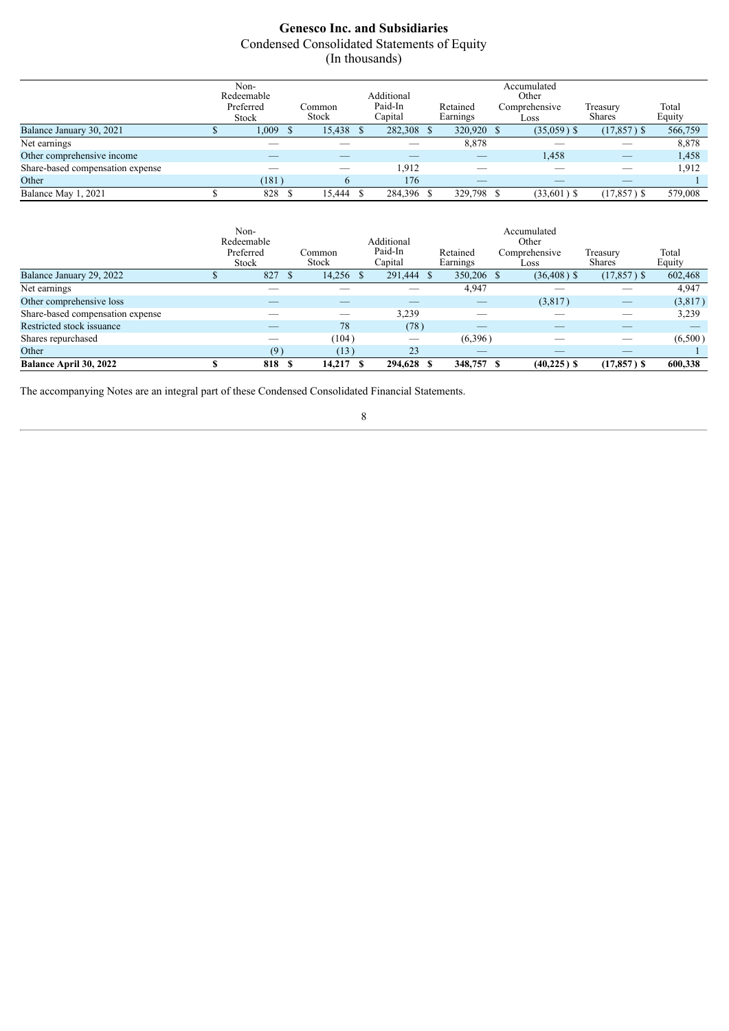# **Genesco Inc. and Subsidiaries** Condensed Consolidated Statements of Equity

(In thousands)

<span id="page-7-0"></span>

| Non-<br>Redeemable<br>Preferred<br>Common<br>Stock<br>Stock |  |       |  |        |  | Additional<br>Paid-In<br>Capital | Retained<br>Earnings |            |  | Accumulated<br>Other<br>Comprehensive<br>LOSS | Treasury<br><b>Shares</b> | Total<br>Equity |
|-------------------------------------------------------------|--|-------|--|--------|--|----------------------------------|----------------------|------------|--|-----------------------------------------------|---------------------------|-----------------|
| Balance January 30, 2021                                    |  | 009   |  | 15.438 |  | 282,308 \$                       |                      | 320,920 \$ |  | $(35,059)$ \$                                 | $(17, 857)$ \$            | 566,759         |
| Net earnings                                                |  |       |  |        |  |                                  |                      | 8,878      |  |                                               |                           | 8,878           |
| Other comprehensive income                                  |  |       |  |        |  |                                  |                      |            |  | 1,458                                         |                           | 1,458           |
| Share-based compensation expense                            |  |       |  |        |  | 1,912                            |                      |            |  | __                                            |                           | 1,912           |
| Other                                                       |  | (181) |  | 6      |  | 176                              |                      |            |  |                                               |                           |                 |
| Balance May 1, 2021                                         |  | 828   |  | 15.444 |  | 284,396 \$                       |                      | 329,798 \$ |  | $(33,601)$ \$                                 | $(17, 857)$ \$            | 579,008         |

|                                  | Non-<br>Redeemable<br>Preferred<br><b>Stock</b> | Common<br><b>Stock</b> | Additional<br>Paid-In<br>Capital | Retained<br>Earnings | Accumulated<br>Other<br>Comprehensive<br>Loss | Treasury<br><b>Shares</b> | Total<br>Equity |
|----------------------------------|-------------------------------------------------|------------------------|----------------------------------|----------------------|-----------------------------------------------|---------------------------|-----------------|
| Balance January 29, 2022         | 827                                             | 14,256                 | 291,444 \$                       | 350,206 \$           | $(36, 408)$ \$                                | $(17,857)$ \$             | 602,468         |
| Net earnings                     |                                                 |                        |                                  | 4,947                |                                               |                           | 4,947           |
| Other comprehensive loss         |                                                 |                        |                                  |                      | (3,817)                                       |                           | (3,817)         |
| Share-based compensation expense |                                                 |                        | 3,239                            |                      |                                               |                           | 3,239           |
| Restricted stock issuance        |                                                 | 78                     | (78)                             |                      |                                               |                           |                 |
| Shares repurchased               |                                                 | (104)                  | __                               | (6,396)              |                                               |                           | (6,500)         |
| Other                            | (9)                                             | (13)                   | 23                               |                      |                                               |                           |                 |
| Balance April 30, 2022           | 818                                             | 14.217                 | 294.628 S                        | 348,757 \$           | $(40,225)$ \$                                 | $(17,857)$ \$             | 600,338         |

The accompanying Notes are an integral part of these Condensed Consolidated Financial Statements.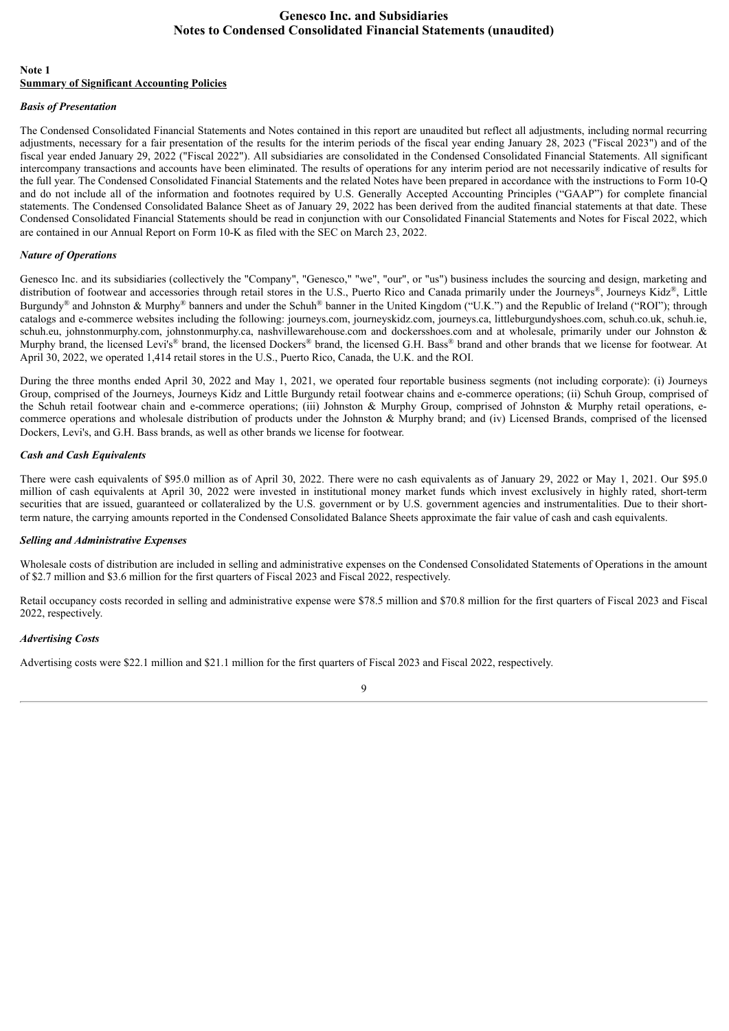# <span id="page-8-0"></span>**Note 1 Summary of Significant Accounting Policies**

# *Basis of Presentation*

The Condensed Consolidated Financial Statements and Notes contained in this report are unaudited but reflect all adjustments, including normal recurring adjustments, necessary for a fair presentation of the results for the interim periods of the fiscal year ending January 28, 2023 ("Fiscal 2023") and of the fiscal year ended January 29, 2022 ("Fiscal 2022"). All subsidiaries are consolidated in the Condensed Consolidated Financial Statements. All significant intercompany transactions and accounts have been eliminated. The results of operations for any interim period are not necessarily indicative of results for the full year. The Condensed Consolidated Financial Statements and the related Notes have been prepared in accordance with the instructions to Form 10-Q and do not include all of the information and footnotes required by U.S. Generally Accepted Accounting Principles ("GAAP") for complete financial statements. The Condensed Consolidated Balance Sheet as of January 29, 2022 has been derived from the audited financial statements at that date. These Condensed Consolidated Financial Statements should be read in conjunction with our Consolidated Financial Statements and Notes for Fiscal 2022, which are contained in our Annual Report on Form 10-K as filed with the SEC on March 23, 2022.

# *Nature of Operations*

Genesco Inc. and its subsidiaries (collectively the "Company", "Genesco," "we", "our", or "us") business includes the sourcing and design, marketing and distribution of footwear and accessories through retail stores in the U.S., Puerto Rico and Canada primarily under the Journeys®, Journeys Kidz®, Little Burgundy<sup>®</sup> and Johnston & Murphy<sup>®</sup> banners and under the Schuh<sup>®</sup> banner in the United Kingdom ("U.K.") and the Republic of Ireland ("ROI"); through catalogs and e-commerce websites including the following: journeys.com, journeyskidz.com, journeys.ca, littleburgundyshoes.com, schuh.co.uk, schuh.ie, schuh.eu, johnstonmurphy.com, johnstonmurphy.ca, nashvillewarehouse.com and dockersshoes.com and at wholesale, primarily under our Johnston & Murphy brand, the licensed Levi's® brand, the licensed Dockers® brand, the licensed G.H. Bass® brand and other brands that we license for footwear. At April 30, 2022, we operated 1,414 retail stores in the U.S., Puerto Rico, Canada, the U.K. and the ROI.

During the three months ended April 30, 2022 and May 1, 2021, we operated four reportable business segments (not including corporate): (i) Journeys Group, comprised of the Journeys, Journeys Kidz and Little Burgundy retail footwear chains and e-commerce operations; (ii) Schuh Group, comprised of the Schuh retail footwear chain and e-commerce operations; (iii) Johnston & Murphy Group, comprised of Johnston & Murphy retail operations, ecommerce operations and wholesale distribution of products under the Johnston & Murphy brand; and (iv) Licensed Brands, comprised of the licensed Dockers, Levi's, and G.H. Bass brands, as well as other brands we license for footwear.

# *Cash and Cash Equivalents*

There were cash equivalents of \$95.0 million as of April 30, 2022. There were no cash equivalents as of January 29, 2022 or May 1, 2021. Our \$95.0 million of cash equivalents at April 30, 2022 were invested in institutional money market funds which invest exclusively in highly rated, short-term securities that are issued, guaranteed or collateralized by the U.S. government or by U.S. government agencies and instrumentalities. Due to their shortterm nature, the carrying amounts reported in the Condensed Consolidated Balance Sheets approximate the fair value of cash and cash equivalents.

# *Selling and Administrative Expenses*

Wholesale costs of distribution are included in selling and administrative expenses on the Condensed Consolidated Statements of Operations in the amount of \$2.7 million and \$3.6 million for the first quarters of Fiscal 2023 and Fiscal 2022, respectively.

Retail occupancy costs recorded in selling and administrative expense were \$78.5 million and \$70.8 million for the first quarters of Fiscal 2023 and Fiscal 2022, respectively.

# *Advertising Costs*

Advertising costs were \$22.1 million and \$21.1 million for the first quarters of Fiscal 2023 and Fiscal 2022, respectively.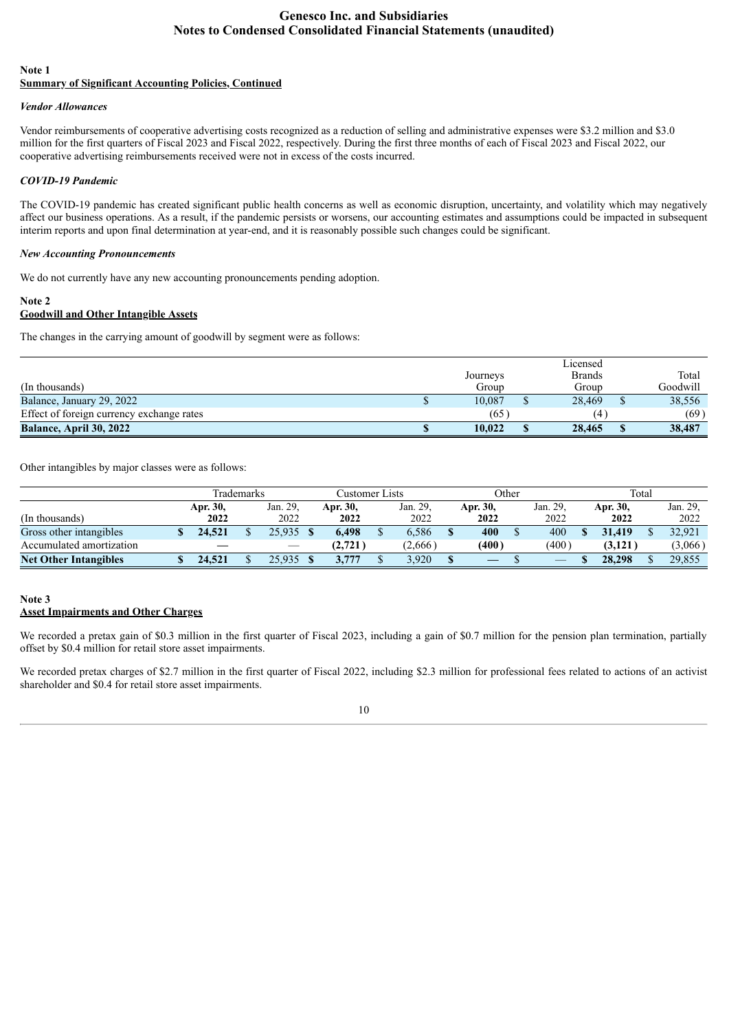# **Note 1 Summary of Significant Accounting Policies, Continued**

#### *Vendor Allowances*

Vendor reimbursements of cooperative advertising costs recognized as a reduction of selling and administrative expenses were \$3.2 million and \$3.0 million for the first quarters of Fiscal 2023 and Fiscal 2022, respectively. During the first three months of each of Fiscal 2023 and Fiscal 2022, our cooperative advertising reimbursements received were not in excess of the costs incurred.

# *COVID-19 Pandemic*

The COVID-19 pandemic has created significant public health concerns as well as economic disruption, uncertainty, and volatility which may negatively affect our business operations. As a result, if the pandemic persists or worsens, our accounting estimates and assumptions could be impacted in subsequent interim reports and upon final determination at year-end, and it is reasonably possible such changes could be significant.

# *New Accounting Pronouncements*

We do not currently have any new accounting pronouncements pending adoption.

# **Note 2**

# **Goodwill and Other Intangible Assets**

The changes in the carrying amount of goodwill by segment were as follows:

|                                           |          | Licensed      |          |
|-------------------------------------------|----------|---------------|----------|
|                                           | Journeys | <b>Brands</b> | Total    |
| (In thousands)                            | Group    | Group         | Goodwill |
| Balance, January 29, 2022                 | 10.087   | 28,469        | 38,556   |
| Effect of foreign currency exchange rates | (65)     | (4)           | (69)     |
| <b>Balance, April 30, 2022</b>            | 10.022   | 28.465        | 38,487   |

Other intangibles by major classes were as follows:

|                              |          | <b>Trademarks</b> | Customer Lists                |  |          | Other    |  |          |  |          |  | Total    |  |          |  |
|------------------------------|----------|-------------------|-------------------------------|--|----------|----------|--|----------|--|----------|--|----------|--|----------|--|
|                              | Apr. 30, |                   | Jan. 29.                      |  | Apr. 30, | Jan. 29. |  | Apr. 30, |  | Jan. 29. |  | Apr. 30, |  | Jan. 29, |  |
| (In thousands)               | 2022     |                   | 2022                          |  | 2022     | 2022     |  | 2022     |  | 2022     |  | 2022     |  | 2022     |  |
| Gross other intangibles      | 24,521   |                   | 25,935                        |  | 6.498    | 6,586    |  | 400      |  | 400      |  | 31.419   |  | 32.921   |  |
| Accumulated amortization     |          |                   | $\overbrace{\phantom{12332}}$ |  | (2.721)  | (2.666)  |  | (400)    |  | (400)    |  | (3.121)  |  | (3,066)  |  |
| <b>Net Other Intangibles</b> | 24.521   |                   | 25.935                        |  | 3,777    | 3.920    |  | –        |  |          |  | 28.298   |  | 29.855   |  |

#### **Note 3 Asset Impairments and Other Charges**

We recorded a pretax gain of \$0.3 million in the first quarter of Fiscal 2023, including a gain of \$0.7 million for the pension plan termination, partially offset by \$0.4 million for retail store asset impairments.

We recorded pretax charges of \$2.7 million in the first quarter of Fiscal 2022, including \$2.3 million for professional fees related to actions of an activist shareholder and \$0.4 for retail store asset impairments.

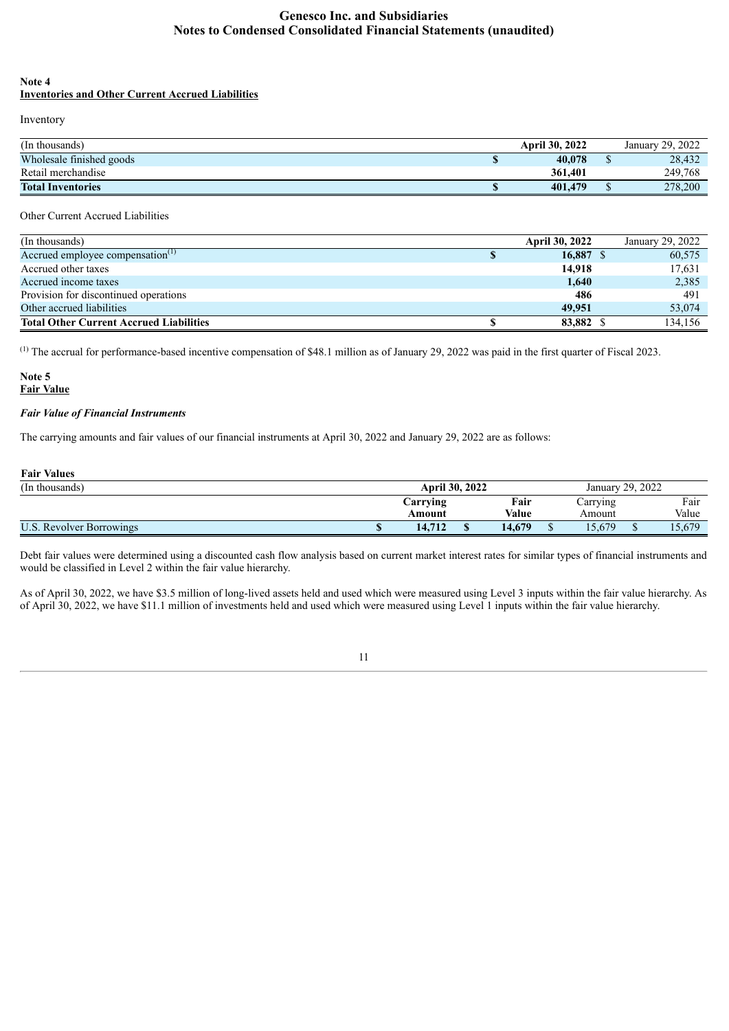# **Note 4 Inventories and Other Current Accrued Liabilities**

Inventory

| (In thousands)           | <b>April 30, 2022</b> | January 29, 2022 |
|--------------------------|-----------------------|------------------|
| Wholesale finished goods | 40.078                | 28.432           |
| Retail merchandise       | 361.401               | 249.768          |
| <b>Total Inventories</b> | 401,479               | 278,200          |

Other Current Accrued Liabilities

| (In thousands)                                 | <b>April 30, 2022</b> | January 29, 2022 |
|------------------------------------------------|-----------------------|------------------|
| Accrued employee compensation <sup>(1)</sup>   | 16,887 \$             | 60,575           |
| Accrued other taxes                            | 14,918                | 17,631           |
| Accrued income taxes                           | 1,640                 | 2,385            |
| Provision for discontinued operations          | 486                   | 491              |
| Other accrued liabilities                      | 49.951                | 53,074           |
| <b>Total Other Current Accrued Liabilities</b> | 83,882 \$             | 134,156          |

 $<sup>(1)</sup>$  The accrual for performance-based incentive compensation of \$48.1 million as of January 29, 2022 was paid in the first quarter of Fiscal 2023.</sup>

# **Note 5 Fair Value**

# *Fair Value of Financial Instruments*

The carrying amounts and fair values of our financial instruments at April 30, 2022 and January 29, 2022 are as follows:

| <b>Fair Values</b>       |                |        |                  |  |        |
|--------------------------|----------------|--------|------------------|--|--------|
| (In thousands)           | April 30, 2022 |        | January 29, 2022 |  |        |
|                          | Carrying       | Fair   | Carrying         |  | Fair   |
|                          | Amount         | Value  | Amount           |  | Value  |
| U.S. Revolver Borrowings | 14.712         | 14.679 | 15.679           |  | 15,679 |

Debt fair values were determined using a discounted cash flow analysis based on current market interest rates for similar types of financial instruments and would be classified in Level 2 within the fair value hierarchy.

As of April 30, 2022, we have \$3.5 million of long-lived assets held and used which were measured using Level 3 inputs within the fair value hierarchy. As of April 30, 2022, we have \$11.1 million of investments held and used which were measured using Level 1 inputs within the fair value hierarchy.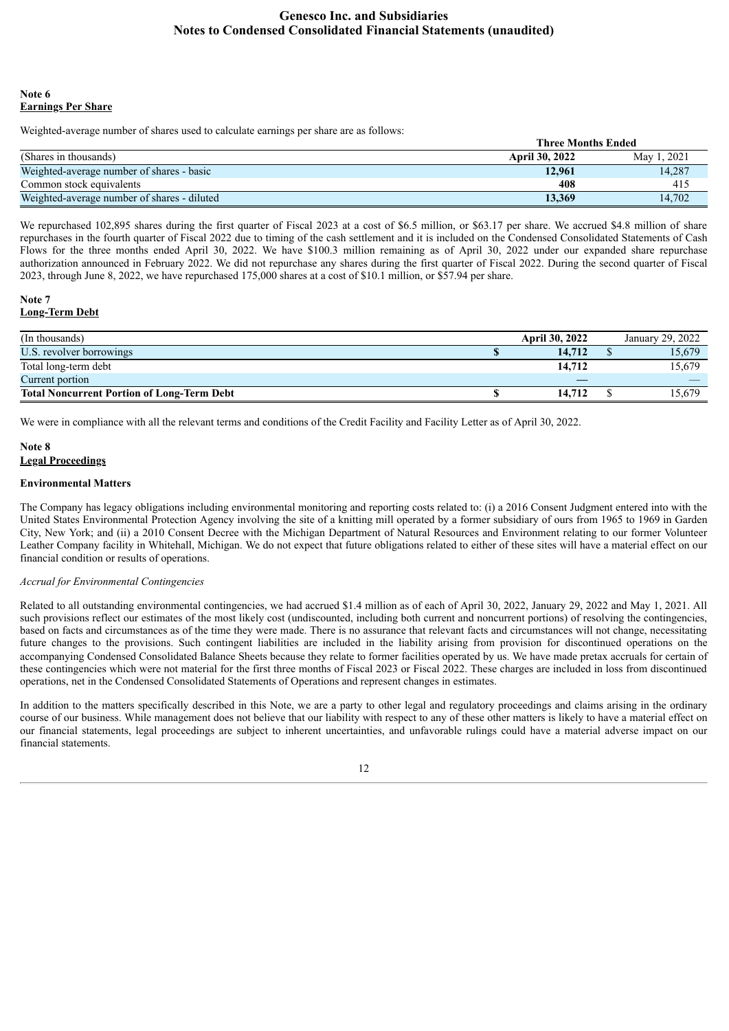# **Note 6 Earnings Per Share**

Weighted-average number of shares used to calculate earnings per share are as follows:

|                                             | <b>Three Months Ended</b> |             |  |  |  |  |
|---------------------------------------------|---------------------------|-------------|--|--|--|--|
| (Shares in thousands)                       | <b>April 30, 2022</b>     | May 1, 2021 |  |  |  |  |
| Weighted-average number of shares - basic   | 12.961                    | 14.287      |  |  |  |  |
| Common stock equivalents                    | 408                       | 415         |  |  |  |  |
| Weighted-average number of shares - diluted | 13.369                    | 14.702      |  |  |  |  |

We repurchased 102,895 shares during the first quarter of Fiscal 2023 at a cost of \$6.5 million, or \$63.17 per share. We accrued \$4.8 million of share repurchases in the fourth quarter of Fiscal 2022 due to timing of the cash settlement and it is included on the Condensed Consolidated Statements of Cash Flows for the three months ended April 30, 2022. We have \$100.3 million remaining as of April 30, 2022 under our expanded share repurchase authorization announced in February 2022. We did not repurchase any shares during the first quarter of Fiscal 2022. During the second quarter of Fiscal 2023, through June 8, 2022, we have repurchased 175,000 shares at a cost of \$10.1 million, or \$57.94 per share.

#### **Note 7 Long-Term Debt**

| (In thousands)                                    | <b>April 30, 2022</b> | January 29, 2022 |
|---------------------------------------------------|-----------------------|------------------|
| U.S. revolver borrowings                          | 14.712                | 15,679           |
| Total long-term debt                              | 14.712                | 15.679           |
| Current portion                                   |                       |                  |
| <b>Total Noncurrent Portion of Long-Term Debt</b> | 14.712                | 15.679           |

We were in compliance with all the relevant terms and conditions of the Credit Facility and Facility Letter as of April 30, 2022.

# **Note 8 Legal Proceedings**

# **Environmental Matters**

The Company has legacy obligations including environmental monitoring and reporting costs related to: (i) a 2016 Consent Judgment entered into with the United States Environmental Protection Agency involving the site of a knitting mill operated by a former subsidiary of ours from 1965 to 1969 in Garden City, New York; and (ii) a 2010 Consent Decree with the Michigan Department of Natural Resources and Environment relating to our former Volunteer Leather Company facility in Whitehall, Michigan. We do not expect that future obligations related to either of these sites will have a material effect on our financial condition or results of operations.

# *Accrual for Environmental Contingencies*

Related to all outstanding environmental contingencies, we had accrued \$1.4 million as of each of April 30, 2022, January 29, 2022 and May 1, 2021. All such provisions reflect our estimates of the most likely cost (undiscounted, including both current and noncurrent portions) of resolving the contingencies, based on facts and circumstances as of the time they were made. There is no assurance that relevant facts and circumstances will not change, necessitating future changes to the provisions. Such contingent liabilities are included in the liability arising from provision for discontinued operations on the accompanying Condensed Consolidated Balance Sheets because they relate to former facilities operated by us. We have made pretax accruals for certain of these contingencies which were not material for the first three months of Fiscal 2023 or Fiscal 2022. These charges are included in loss from discontinued operations, net in the Condensed Consolidated Statements of Operations and represent changes in estimates.

In addition to the matters specifically described in this Note, we are a party to other legal and regulatory proceedings and claims arising in the ordinary course of our business. While management does not believe that our liability with respect to any of these other matters is likely to have a material effect on our financial statements, legal proceedings are subject to inherent uncertainties, and unfavorable rulings could have a material adverse impact on our financial statements.

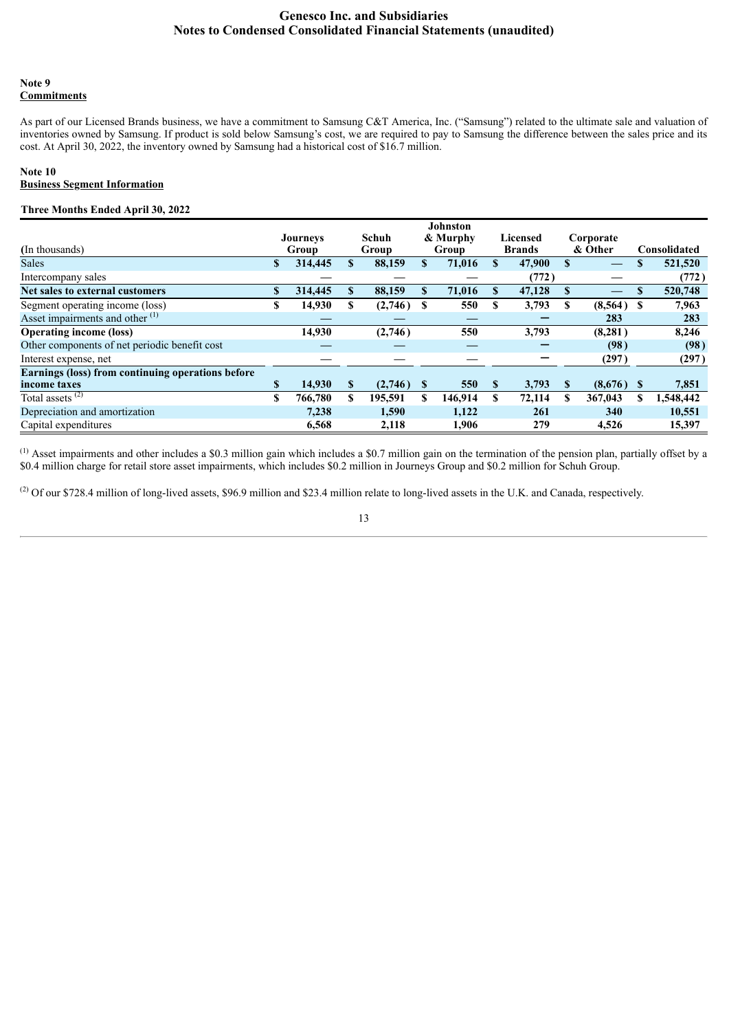# **Note 9 Commitments**

As part of our Licensed Brands business, we have a commitment to Samsung C&T America, Inc. ("Samsung") related to the ultimate sale and valuation of inventories owned by Samsung. If product is sold below Samsung's cost, we are required to pay to Samsung the difference between the sales price and its cost. At April 30, 2022, the inventory owned by Samsung had a historical cost of \$16.7 million.

# **Note 10**

# **Business Segment Information**

# **Three Months Ended April 30, 2022**

|                                                   |                 |     |              |               | <b>Johnston</b> |               |               |              |           |    |                     |
|---------------------------------------------------|-----------------|-----|--------------|---------------|-----------------|---------------|---------------|--------------|-----------|----|---------------------|
|                                                   | <b>Journeys</b> |     | <b>Schuh</b> |               | & Murphy        |               | Licensed      |              | Corporate |    |                     |
| (In thousands)                                    | Group           |     | Group        |               | Group           |               | <b>Brands</b> |              | & Other   |    | <b>Consolidated</b> |
| <b>Sales</b>                                      | \$<br>314,445   | \$. | 88,159       | \$            | 71,016          | \$.           | 47,900        | <b>S</b>     |           | \$ | 521,520             |
| Intercompany sales                                |                 |     |              |               |                 |               | (772)         |              |           |    | (772)               |
| Net sales to external customers                   | 314,445         | \$  | 88,159       | \$            | 71,016          | \$.           | 47,128        | S            |           | S  | 520,748             |
| Segment operating income (loss)                   | \$<br>14,930    | \$  | (2,746)      |               | 550             | S             | 3,793         | <b>S</b>     | (8, 564)  | -S | 7,963               |
| Asset impairments and other <sup>(1)</sup>        |                 |     |              |               |                 |               |               |              | 283       |    | 283                 |
| <b>Operating income (loss)</b>                    | 14,930          |     | (2,746)      |               | 550             |               | 3,793         |              | (8,281)   |    | 8,246               |
| Other components of net periodic benefit cost     |                 |     |              |               |                 |               |               |              | (98)      |    | (98)                |
| Interest expense, net                             |                 |     |              |               |                 |               |               |              | (297)     |    | (297)               |
| Earnings (loss) from continuing operations before |                 |     |              |               |                 |               |               |              |           |    |                     |
| income taxes                                      | \$<br>14,930    | S   | (2,746)      | <sup>\$</sup> | 550             | <sup>\$</sup> | 3,793         | $\mathbf{s}$ | (8,676)   | -S | 7,851               |
| Total assets $(2)$                                | 766,780         | S.  | 195.591      | \$            | 146.914         | \$.           | 72,114        | \$.          | 367,043   | S  | 1,548,442           |
| Depreciation and amortization                     | 7.238           |     | 1.590        |               | 1,122           |               | 261           |              | 340       |    | 10,551              |
| Capital expenditures                              | 6,568           |     | 2,118        |               | 1,906           |               | 279           |              | 4,526     |    | 15,397              |

(1) Asset impairments and other includes a \$0.3 million gain which includes a \$0.7 million gain on the termination of the pension plan, partially offset by a \$0.4 million charge for retail store asset impairments, which includes \$0.2 million in Journeys Group and \$0.2 million for Schuh Group.

(2) Of our \$728.4 million of long-lived assets, \$96.9 million and \$23.4 million relate to long-lived assets in the U.K. and Canada, respectively.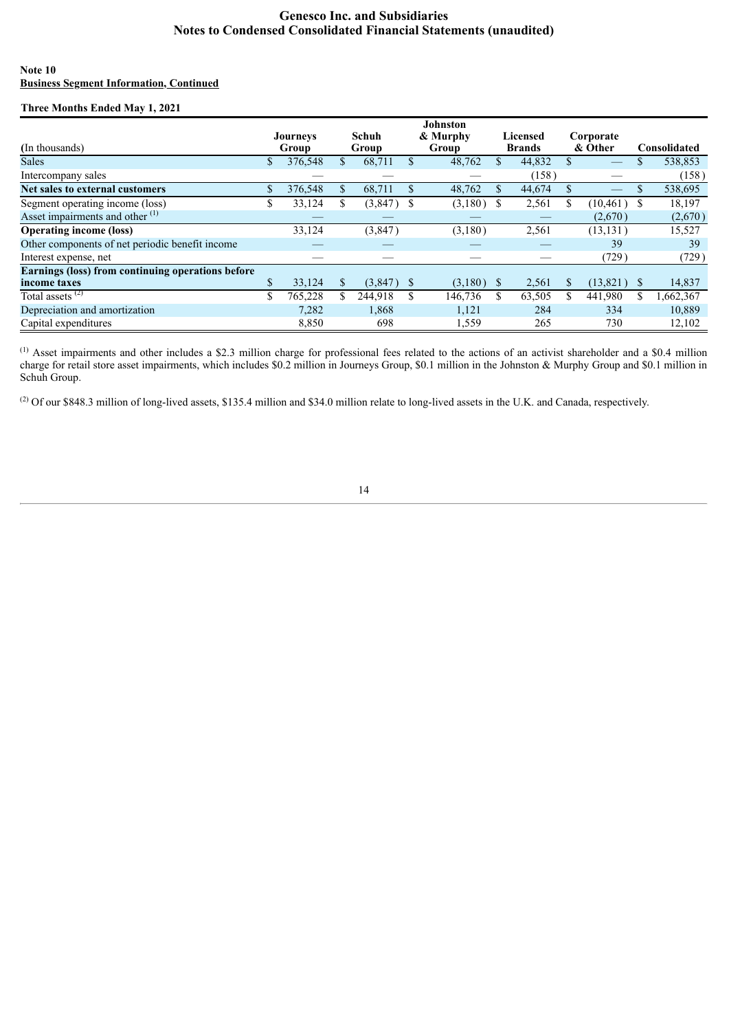# **Note 10 Business Segment Information, Continued**

# **Three Months Ended May 1, 2021**

|                                                   | <b>Johnston</b> |                 |    |              |    |          |               |                           |     |                      |   |              |
|---------------------------------------------------|-----------------|-----------------|----|--------------|----|----------|---------------|---------------------------|-----|----------------------|---|--------------|
|                                                   |                 | <b>Journeys</b> |    | <b>Schuh</b> |    | & Murphy |               | Licensed<br><b>Brands</b> |     | Corporate<br>& Other |   | Consolidated |
| (In thousands)                                    |                 | Group           |    | Group        |    | Group    |               |                           |     |                      |   |              |
| <b>Sales</b>                                      |                 | 376,548         |    | 68,711       | \$ | 48,762   |               | 44,832                    |     |                      |   | 538,853      |
| Intercompany sales                                |                 |                 |    |              |    |          |               | (158)                     |     |                      |   | (158)        |
| Net sales to external customers                   |                 | 376,548         |    | 68,711       |    | 48,762   | $\mathcal{S}$ | 44,674                    |     |                      |   | 538,695      |
| Segment operating income (loss)                   | аĐ.             | 33,124          |    | (3,847)      | -S | (3,180)  | \$.           | 2,561                     | \$. | (10, 461)            |   | 18,197       |
| Asset impairments and other <sup>(1)</sup>        |                 |                 |    |              |    |          |               |                           |     | (2,670)              |   | (2,670)      |
| <b>Operating income (loss)</b>                    |                 | 33,124          |    | (3, 847)     |    | (3,180)  |               | 2,561                     |     | (13, 131)            |   | 15,527       |
| Other components of net periodic benefit income   |                 |                 |    |              |    |          |               |                           |     | 39                   |   | 39           |
| Interest expense, net                             |                 |                 |    |              |    |          |               |                           |     | (729)                |   | (729)        |
| Earnings (loss) from continuing operations before |                 |                 |    |              |    |          |               |                           |     |                      |   |              |
| income taxes                                      | ъ               | 33,124          | S. | $(3,847)$ \$ |    | (3,180)  | <sup>S</sup>  | 2,561                     | S   | (13, 821)            | S | 14,837       |
| Total assets $(2)$                                |                 | 765.228         |    | 244,918      | \$ | 146,736  |               | 63,505                    |     | 441.980              | S | .662,367     |
| Depreciation and amortization                     |                 | 7,282           |    | 1,868        |    | 1,121    |               | 284                       |     | 334                  |   | 10,889       |
| Capital expenditures                              |                 | 8,850           |    | 698          |    | 1,559    |               | 265                       |     | 730                  |   | 12,102       |

(1) Asset impairments and other includes a \$2.3 million charge for professional fees related to the actions of an activist shareholder and a \$0.4 million charge for retail store asset impairments, which includes \$0.2 million in Journeys Group, \$0.1 million in the Johnston & Murphy Group and \$0.1 million in Schuh Group.

(2) Of our \$848.3 million of long-lived assets, \$135.4 million and \$34.0 million relate to long-lived assets in the U.K. and Canada, respectively.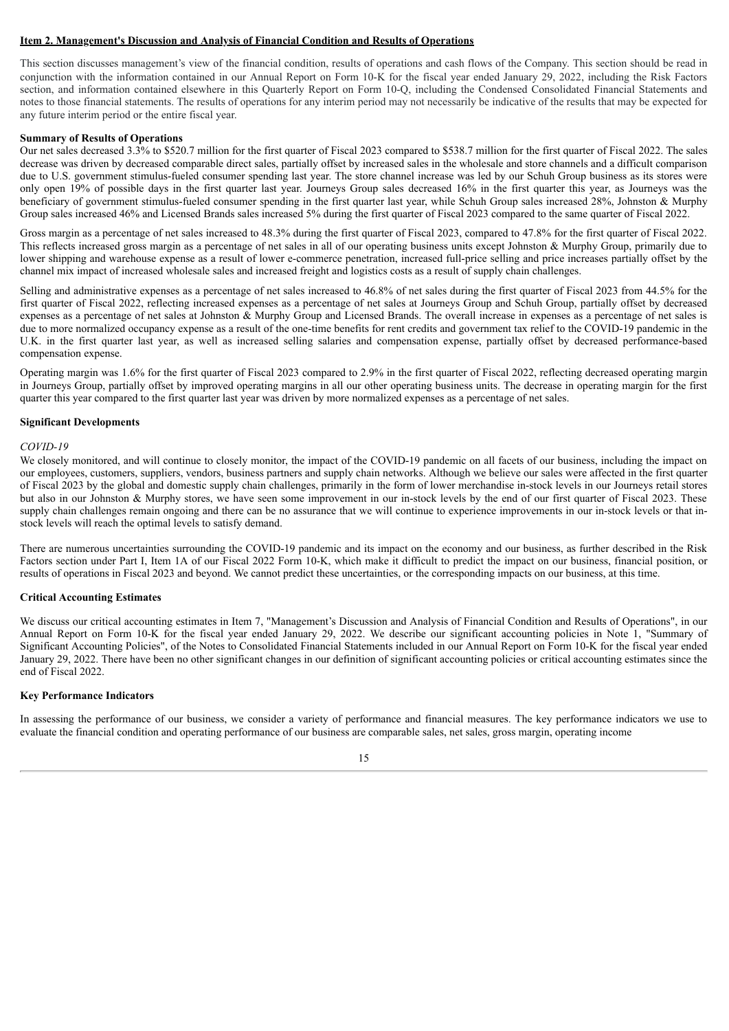# <span id="page-14-0"></span>**Item 2. Management's Discussion and Analysis of Financial Condition and Results of Operations**

This section discusses management's view of the financial condition, results of operations and cash flows of the Company. This section should be read in conjunction with the information contained in our Annual Report on Form 10-K for the fiscal year ended January 29, 2022, including the Risk Factors section, and information contained elsewhere in this Quarterly Report on Form 10-Q, including the Condensed Consolidated Financial Statements and notes to those financial statements. The results of operations for any interim period may not necessarily be indicative of the results that may be expected for any future interim period or the entire fiscal year.

# **Summary of Results of Operations**

Our net sales decreased 3.3% to \$520.7 million for the first quarter of Fiscal 2023 compared to \$538.7 million for the first quarter of Fiscal 2022. The sales decrease was driven by decreased comparable direct sales, partially offset by increased sales in the wholesale and store channels and a difficult comparison due to U.S. government stimulus-fueled consumer spending last year. The store channel increase was led by our Schuh Group business as its stores were only open 19% of possible days in the first quarter last year. Journeys Group sales decreased 16% in the first quarter this year, as Journeys was the beneficiary of government stimulus-fueled consumer spending in the first quarter last year, while Schuh Group sales increased 28%, Johnston & Murphy Group sales increased 46% and Licensed Brands sales increased 5% during the first quarter of Fiscal 2023 compared to the same quarter of Fiscal 2022.

Gross margin as a percentage of net sales increased to 48.3% during the first quarter of Fiscal 2023, compared to 47.8% for the first quarter of Fiscal 2022. This reflects increased gross margin as a percentage of net sales in all of our operating business units except Johnston & Murphy Group, primarily due to lower shipping and warehouse expense as a result of lower e-commerce penetration, increased full-price selling and price increases partially offset by the channel mix impact of increased wholesale sales and increased freight and logistics costs as a result of supply chain challenges.

Selling and administrative expenses as a percentage of net sales increased to 46.8% of net sales during the first quarter of Fiscal 2023 from 44.5% for the first quarter of Fiscal 2022, reflecting increased expenses as a percentage of net sales at Journeys Group and Schuh Group, partially offset by decreased expenses as a percentage of net sales at Johnston & Murphy Group and Licensed Brands. The overall increase in expenses as a percentage of net sales is due to more normalized occupancy expense as a result of the one-time benefits for rent credits and government tax relief to the COVID-19 pandemic in the U.K. in the first quarter last year, as well as increased selling salaries and compensation expense, partially offset by decreased performance-based compensation expense.

Operating margin was 1.6% for the first quarter of Fiscal 2023 compared to 2.9% in the first quarter of Fiscal 2022, reflecting decreased operating margin in Journeys Group, partially offset by improved operating margins in all our other operating business units. The decrease in operating margin for the first quarter this year compared to the first quarter last year was driven by more normalized expenses as a percentage of net sales.

# **Significant Developments**

# *COVID-19*

We closely monitored, and will continue to closely monitor, the impact of the COVID-19 pandemic on all facets of our business, including the impact on our employees, customers, suppliers, vendors, business partners and supply chain networks. Although we believe our sales were affected in the first quarter of Fiscal 2023 by the global and domestic supply chain challenges, primarily in the form of lower merchandise in-stock levels in our Journeys retail stores but also in our Johnston & Murphy stores, we have seen some improvement in our in-stock levels by the end of our first quarter of Fiscal 2023. These supply chain challenges remain ongoing and there can be no assurance that we will continue to experience improvements in our in-stock levels or that instock levels will reach the optimal levels to satisfy demand.

There are numerous uncertainties surrounding the COVID-19 pandemic and its impact on the economy and our business, as further described in the Risk Factors section under Part I, Item 1A of our Fiscal 2022 Form 10-K, which make it difficult to predict the impact on our business, financial position, or results of operations in Fiscal 2023 and beyond. We cannot predict these uncertainties, or the corresponding impacts on our business, at this time.

#### **Critical Accounting Estimates**

We discuss our critical accounting estimates in Item 7, "Management's Discussion and Analysis of Financial Condition and Results of Operations", in our Annual Report on Form 10-K for the fiscal year ended January 29, 2022. We describe our significant accounting policies in Note 1, "Summary of Significant Accounting Policies", of the Notes to Consolidated Financial Statements included in our Annual Report on Form 10-K for the fiscal year ended January 29, 2022. There have been no other significant changes in our definition of significant accounting policies or critical accounting estimates since the end of Fiscal 2022.

#### **Key Performance Indicators**

In assessing the performance of our business, we consider a variety of performance and financial measures. The key performance indicators we use to evaluate the financial condition and operating performance of our business are comparable sales, net sales, gross margin, operating income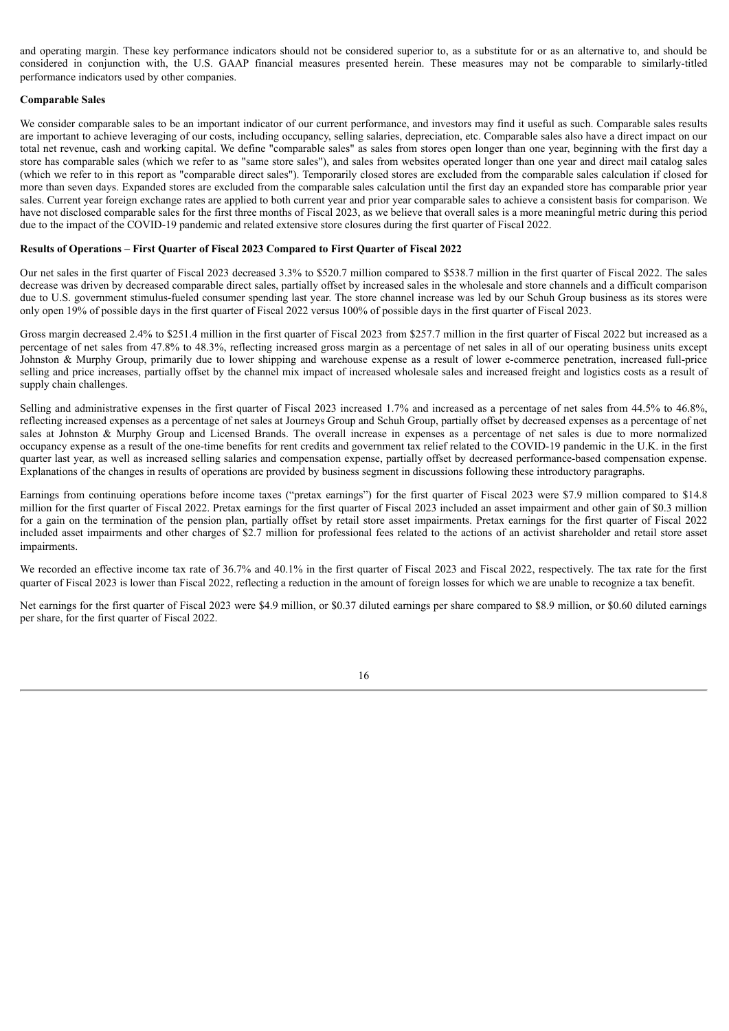and operating margin. These key performance indicators should not be considered superior to, as a substitute for or as an alternative to, and should be considered in conjunction with, the U.S. GAAP financial measures presented herein. These measures may not be comparable to similarly-titled performance indicators used by other companies.

# **Comparable Sales**

We consider comparable sales to be an important indicator of our current performance, and investors may find it useful as such. Comparable sales results are important to achieve leveraging of our costs, including occupancy, selling salaries, depreciation, etc. Comparable sales also have a direct impact on our total net revenue, cash and working capital. We define "comparable sales" as sales from stores open longer than one year, beginning with the first day a store has comparable sales (which we refer to as "same store sales"), and sales from websites operated longer than one year and direct mail catalog sales (which we refer to in this report as "comparable direct sales"). Temporarily closed stores are excluded from the comparable sales calculation if closed for more than seven days. Expanded stores are excluded from the comparable sales calculation until the first day an expanded store has comparable prior year sales. Current year foreign exchange rates are applied to both current year and prior year comparable sales to achieve a consistent basis for comparison. We have not disclosed comparable sales for the first three months of Fiscal 2023, as we believe that overall sales is a more meaningful metric during this period due to the impact of the COVID-19 pandemic and related extensive store closures during the first quarter of Fiscal 2022.

# **Results of Operations – First Quarter of Fiscal 2023 Compared to First Quarter of Fiscal 2022**

Our net sales in the first quarter of Fiscal 2023 decreased 3.3% to \$520.7 million compared to \$538.7 million in the first quarter of Fiscal 2022. The sales decrease was driven by decreased comparable direct sales, partially offset by increased sales in the wholesale and store channels and a difficult comparison due to U.S. government stimulus-fueled consumer spending last year. The store channel increase was led by our Schuh Group business as its stores were only open 19% of possible days in the first quarter of Fiscal 2022 versus 100% of possible days in the first quarter of Fiscal 2023.

Gross margin decreased 2.4% to \$251.4 million in the first quarter of Fiscal 2023 from \$257.7 million in the first quarter of Fiscal 2022 but increased as a percentage of net sales from 47.8% to 48.3%, reflecting increased gross margin as a percentage of net sales in all of our operating business units except Johnston & Murphy Group, primarily due to lower shipping and warehouse expense as a result of lower e-commerce penetration, increased full-price selling and price increases, partially offset by the channel mix impact of increased wholesale sales and increased freight and logistics costs as a result of supply chain challenges.

Selling and administrative expenses in the first quarter of Fiscal 2023 increased 1.7% and increased as a percentage of net sales from 44.5% to 46.8%, reflecting increased expenses as a percentage of net sales at Journeys Group and Schuh Group, partially offset by decreased expenses as a percentage of net sales at Johnston & Murphy Group and Licensed Brands. The overall increase in expenses as a percentage of net sales is due to more normalized occupancy expense as a result of the one-time benefits for rent credits and government tax relief related to the COVID-19 pandemic in the U.K. in the first quarter last year, as well as increased selling salaries and compensation expense, partially offset by decreased performance-based compensation expense. Explanations of the changes in results of operations are provided by business segment in discussions following these introductory paragraphs.

Earnings from continuing operations before income taxes ("pretax earnings") for the first quarter of Fiscal 2023 were \$7.9 million compared to \$14.8 million for the first quarter of Fiscal 2022. Pretax earnings for the first quarter of Fiscal 2023 included an asset impairment and other gain of \$0.3 million for a gain on the termination of the pension plan, partially offset by retail store asset impairments. Pretax earnings for the first quarter of Fiscal 2022 included asset impairments and other charges of \$2.7 million for professional fees related to the actions of an activist shareholder and retail store asset impairments.

We recorded an effective income tax rate of 36.7% and 40.1% in the first quarter of Fiscal 2023 and Fiscal 2022, respectively. The tax rate for the first quarter of Fiscal 2023 is lower than Fiscal 2022, reflecting a reduction in the amount of foreign losses for which we are unable to recognize a tax benefit.

Net earnings for the first quarter of Fiscal 2023 were \$4.9 million, or \$0.37 diluted earnings per share compared to \$8.9 million, or \$0.60 diluted earnings per share, for the first quarter of Fiscal 2022.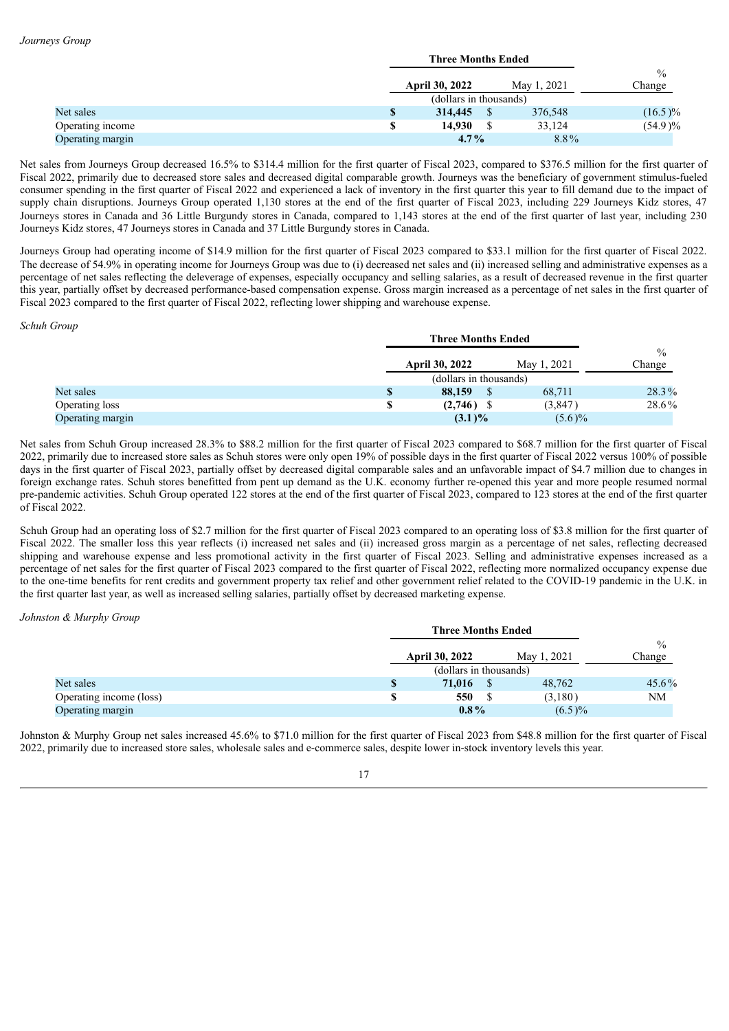|                  | <b>Three Months Ended</b> |  |             |               |
|------------------|---------------------------|--|-------------|---------------|
|                  |                           |  |             | $\frac{0}{0}$ |
|                  | April 30, 2022            |  | May 1, 2021 | Change        |
|                  | (dollars in thousands)    |  |             |               |
| Net sales        | 314,445                   |  | 376,548     | $(16.5)\%$    |
| Operating income | 14.930                    |  | 33,124      | $(54.9)\%$    |
| Operating margin | $4.7\%$                   |  | 8.8%        |               |

Net sales from Journeys Group decreased 16.5% to \$314.4 million for the first quarter of Fiscal 2023, compared to \$376.5 million for the first quarter of Fiscal 2022, primarily due to decreased store sales and decreased digital comparable growth. Journeys was the beneficiary of government stimulus-fueled consumer spending in the first quarter of Fiscal 2022 and experienced a lack of inventory in the first quarter this year to fill demand due to the impact of supply chain disruptions. Journeys Group operated 1,130 stores at the end of the first quarter of Fiscal 2023, including 229 Journeys Kidz stores, 47 Journeys stores in Canada and 36 Little Burgundy stores in Canada, compared to 1,143 stores at the end of the first quarter of last year, including 230 Journeys Kidz stores, 47 Journeys stores in Canada and 37 Little Burgundy stores in Canada.

Journeys Group had operating income of \$14.9 million for the first quarter of Fiscal 2023 compared to \$33.1 million for the first quarter of Fiscal 2022. The decrease of 54.9% in operating income for Journeys Group was due to (i) decreased net sales and (ii) increased selling and administrative expenses as a percentage of net sales reflecting the deleverage of expenses, especially occupancy and selling salaries, as a result of decreased revenue in the first quarter this year, partially offset by decreased performance-based compensation expense. Gross margin increased as a percentage of net sales in the first quarter of Fiscal 2023 compared to the first quarter of Fiscal 2022, reflecting lower shipping and warehouse expense.

*Schuh Group*

|                  | <b>Three Months Ended</b> |  |             |               |
|------------------|---------------------------|--|-------------|---------------|
|                  |                           |  |             | $\frac{0}{0}$ |
|                  | <b>April 30, 2022</b>     |  | May 1, 2021 | Change        |
|                  | (dollars in thousands)    |  |             |               |
| Net sales        | \$<br>88,159              |  | 68,711      | $28.3\%$      |
| Operating loss   | \$<br>(2,746)             |  | (3,847)     | 28.6%         |
| Operating margin | $(3.1)\%$                 |  | $(5.6)\%$   |               |

Net sales from Schuh Group increased 28.3% to \$88.2 million for the first quarter of Fiscal 2023 compared to \$68.7 million for the first quarter of Fiscal 2022, primarily due to increased store sales as Schuh stores were only open 19% of possible days in the first quarter of Fiscal 2022 versus 100% of possible days in the first quarter of Fiscal 2023, partially offset by decreased digital comparable sales and an unfavorable impact of \$4.7 million due to changes in foreign exchange rates. Schuh stores benefitted from pent up demand as the U.K. economy further re-opened this year and more people resumed normal pre-pandemic activities. Schuh Group operated 122 stores at the end of the first quarter of Fiscal 2023, compared to 123 stores at the end of the first quarter of Fiscal 2022.

Schuh Group had an operating loss of \$2.7 million for the first quarter of Fiscal 2023 compared to an operating loss of \$3.8 million for the first quarter of Fiscal 2022. The smaller loss this year reflects (i) increased net sales and (ii) increased gross margin as a percentage of net sales, reflecting decreased shipping and warehouse expense and less promotional activity in the first quarter of Fiscal 2023. Selling and administrative expenses increased as a percentage of net sales for the first quarter of Fiscal 2023 compared to the first quarter of Fiscal 2022, reflecting more normalized occupancy expense due to the one-time benefits for rent credits and government property tax relief and other government relief related to the COVID-19 pandemic in the U.K. in the first quarter last year, as well as increased selling salaries, partially offset by decreased marketing expense.

#### *Johnston & Murphy Group*

|                         | <b>Three Months Ended</b> |  |             |               |
|-------------------------|---------------------------|--|-------------|---------------|
|                         |                           |  |             | $\frac{0}{0}$ |
|                         | <b>April 30, 2022</b>     |  | May 1, 2021 | Change        |
|                         | (dollars in thousands)    |  |             |               |
| Net sales               | \$<br>71.016              |  | 48.762      | $45.6\%$      |
| Operating income (loss) | 550                       |  | (3,180)     | NΜ            |
| Operating margin        | $0.8\%$                   |  | $(6.5)\%$   |               |

Johnston & Murphy Group net sales increased 45.6% to \$71.0 million for the first quarter of Fiscal 2023 from \$48.8 million for the first quarter of Fiscal 2022, primarily due to increased store sales, wholesale sales and e-commerce sales, despite lower in-stock inventory levels this year.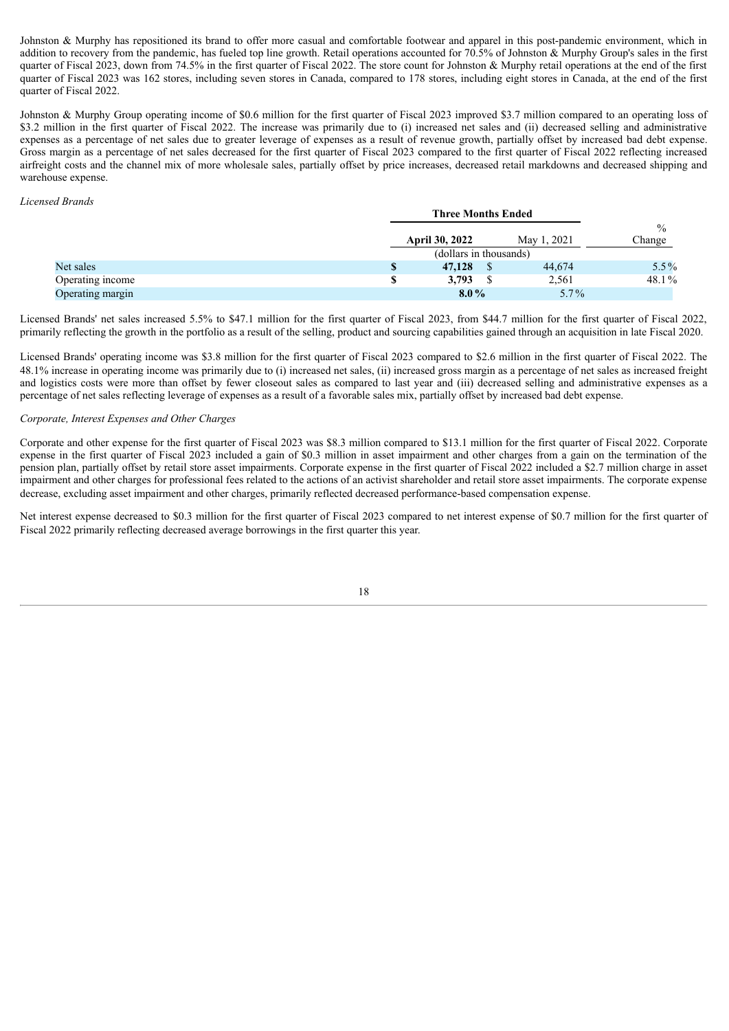Johnston & Murphy has repositioned its brand to offer more casual and comfortable footwear and apparel in this post-pandemic environment, which in addition to recovery from the pandemic, has fueled top line growth. Retail operations accounted for 70.5% of Johnston & Murphy Group's sales in the first quarter of Fiscal 2023, down from 74.5% in the first quarter of Fiscal 2022. The store count for Johnston & Murphy retail operations at the end of the first quarter of Fiscal 2023 was 162 stores, including seven stores in Canada, compared to 178 stores, including eight stores in Canada, at the end of the first quarter of Fiscal 2022.

Johnston & Murphy Group operating income of \$0.6 million for the first quarter of Fiscal 2023 improved \$3.7 million compared to an operating loss of \$3.2 million in the first quarter of Fiscal 2022. The increase was primarily due to (i) increased net sales and (ii) decreased selling and administrative expenses as a percentage of net sales due to greater leverage of expenses as a result of revenue growth, partially offset by increased bad debt expense. Gross margin as a percentage of net sales decreased for the first quarter of Fiscal 2023 compared to the first quarter of Fiscal 2022 reflecting increased airfreight costs and the channel mix of more wholesale sales, partially offset by price increases, decreased retail markdowns and decreased shipping and warehouse expense.

#### *Licensed Brands*

|                  | <b>Three Months Ended</b> |  |             |               |
|------------------|---------------------------|--|-------------|---------------|
|                  |                           |  |             | $\frac{0}{0}$ |
|                  | April 30, 2022            |  | May 1, 2021 | Change        |
|                  | (dollars in thousands)    |  |             |               |
| Net sales        | 47,128                    |  | 44,674      | $5.5\%$       |
| Operating income | 3,793                     |  | 2,561       | 48.1%         |
| Operating margin | $8.0\%$                   |  | $5.7\%$     |               |

Licensed Brands' net sales increased 5.5% to \$47.1 million for the first quarter of Fiscal 2023, from \$44.7 million for the first quarter of Fiscal 2022, primarily reflecting the growth in the portfolio as a result of the selling, product and sourcing capabilities gained through an acquisition in late Fiscal 2020.

Licensed Brands' operating income was \$3.8 million for the first quarter of Fiscal 2023 compared to \$2.6 million in the first quarter of Fiscal 2022. The 48.1% increase in operating income was primarily due to (i) increased net sales, (ii) increased gross margin as a percentage of net sales as increased freight and logistics costs were more than offset by fewer closeout sales as compared to last year and (iii) decreased selling and administrative expenses as a percentage of net sales reflecting leverage of expenses as a result of a favorable sales mix, partially offset by increased bad debt expense.

#### *Corporate, Interest Expenses and Other Charges*

Corporate and other expense for the first quarter of Fiscal 2023 was \$8.3 million compared to \$13.1 million for the first quarter of Fiscal 2022. Corporate expense in the first quarter of Fiscal 2023 included a gain of \$0.3 million in asset impairment and other charges from a gain on the termination of the pension plan, partially offset by retail store asset impairments. Corporate expense in the first quarter of Fiscal 2022 included a \$2.7 million charge in asset impairment and other charges for professional fees related to the actions of an activist shareholder and retail store asset impairments. The corporate expense decrease, excluding asset impairment and other charges, primarily reflected decreased performance-based compensation expense.

Net interest expense decreased to \$0.3 million for the first quarter of Fiscal 2023 compared to net interest expense of \$0.7 million for the first quarter of Fiscal 2022 primarily reflecting decreased average borrowings in the first quarter this year.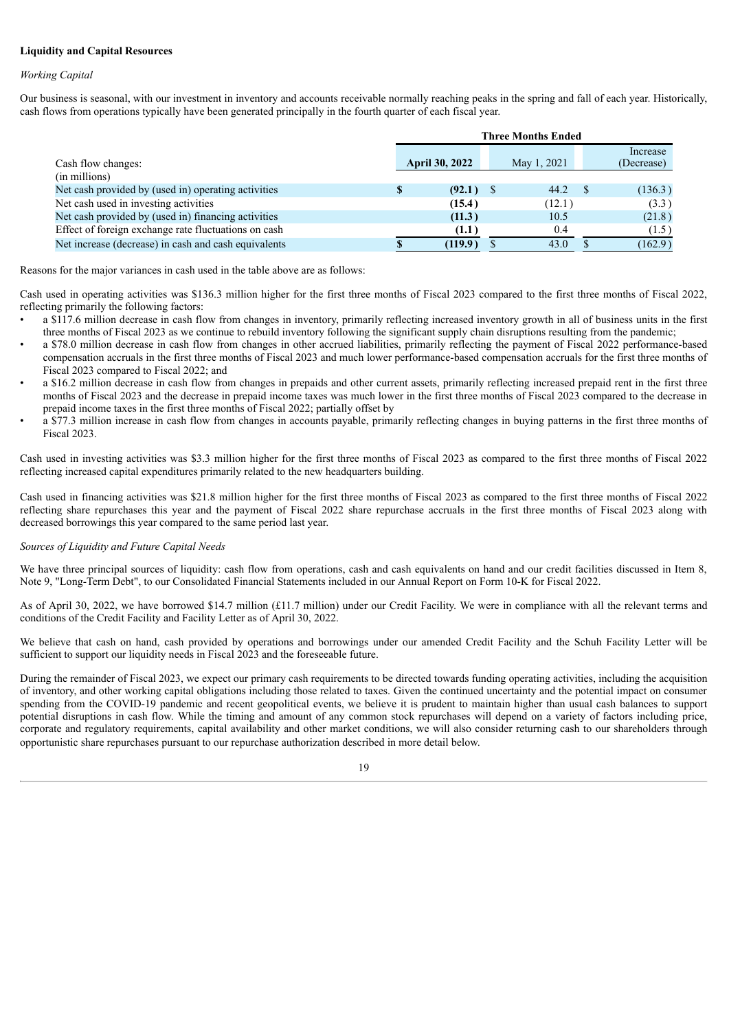# **Liquidity and Capital Resources**

# *Working Capital*

Our business is seasonal, with our investment in inventory and accounts receivable normally reaching peaks in the spring and fall of each year. Historically, cash flows from operations typically have been generated principally in the fourth quarter of each fiscal year.

|                                                      | <b>Three Months Ended</b> |  |             |  |            |  |  |  |  |
|------------------------------------------------------|---------------------------|--|-------------|--|------------|--|--|--|--|
|                                                      |                           |  |             |  | Increase   |  |  |  |  |
| Cash flow changes:                                   | <b>April 30, 2022</b>     |  | May 1, 2021 |  | (Decrease) |  |  |  |  |
| (in millions)                                        |                           |  |             |  |            |  |  |  |  |
| Net cash provided by (used in) operating activities  | S<br>(92.1)               |  | 44.2        |  | (136.3)    |  |  |  |  |
| Net cash used in investing activities                | (15.4)                    |  | (12.1)      |  | (3.3)      |  |  |  |  |
| Net cash provided by (used in) financing activities  | (11.3)                    |  | 10.5        |  | (21.8)     |  |  |  |  |
| Effect of foreign exchange rate fluctuations on cash | (1.1)                     |  | 0.4         |  | (1.5)      |  |  |  |  |
| Net increase (decrease) in cash and cash equivalents | (119.9)                   |  | 43.0        |  | (162.9)    |  |  |  |  |

Reasons for the major variances in cash used in the table above are as follows:

Cash used in operating activities was \$136.3 million higher for the first three months of Fiscal 2023 compared to the first three months of Fiscal 2022, reflecting primarily the following factors:

- a \$117.6 million decrease in cash flow from changes in inventory, primarily reflecting increased inventory growth in all of business units in the first three months of Fiscal 2023 as we continue to rebuild inventory following the significant supply chain disruptions resulting from the pandemic;
- a \$78.0 million decrease in cash flow from changes in other accrued liabilities, primarily reflecting the payment of Fiscal 2022 performance-based compensation accruals in the first three months of Fiscal 2023 and much lower performance-based compensation accruals for the first three months of Fiscal 2023 compared to Fiscal 2022; and
- a \$16.2 million decrease in cash flow from changes in prepaids and other current assets, primarily reflecting increased prepaid rent in the first three months of Fiscal 2023 and the decrease in prepaid income taxes was much lower in the first three months of Fiscal 2023 compared to the decrease in prepaid income taxes in the first three months of Fiscal 2022; partially offset by
- a \$77.3 million increase in cash flow from changes in accounts payable, primarily reflecting changes in buying patterns in the first three months of Fiscal 2023.

Cash used in investing activities was \$3.3 million higher for the first three months of Fiscal 2023 as compared to the first three months of Fiscal 2022 reflecting increased capital expenditures primarily related to the new headquarters building.

Cash used in financing activities was \$21.8 million higher for the first three months of Fiscal 2023 as compared to the first three months of Fiscal 2022 reflecting share repurchases this year and the payment of Fiscal 2022 share repurchase accruals in the first three months of Fiscal 2023 along with decreased borrowings this year compared to the same period last year.

# *Sources of Liquidity and Future Capital Needs*

We have three principal sources of liquidity: cash flow from operations, cash and cash equivalents on hand and our credit facilities discussed in Item 8, Note 9, "Long-Term Debt", to our Consolidated Financial Statements included in our Annual Report on Form 10-K for Fiscal 2022.

As of April 30, 2022, we have borrowed \$14.7 million (£11.7 million) under our Credit Facility. We were in compliance with all the relevant terms and conditions of the Credit Facility and Facility Letter as of April 30, 2022.

We believe that cash on hand, cash provided by operations and borrowings under our amended Credit Facility and the Schuh Facility Letter will be sufficient to support our liquidity needs in Fiscal 2023 and the foreseeable future.

During the remainder of Fiscal 2023, we expect our primary cash requirements to be directed towards funding operating activities, including the acquisition of inventory, and other working capital obligations including those related to taxes. Given the continued uncertainty and the potential impact on consumer spending from the COVID-19 pandemic and recent geopolitical events, we believe it is prudent to maintain higher than usual cash balances to support potential disruptions in cash flow. While the timing and amount of any common stock repurchases will depend on a variety of factors including price, corporate and regulatory requirements, capital availability and other market conditions, we will also consider returning cash to our shareholders through opportunistic share repurchases pursuant to our repurchase authorization described in more detail below.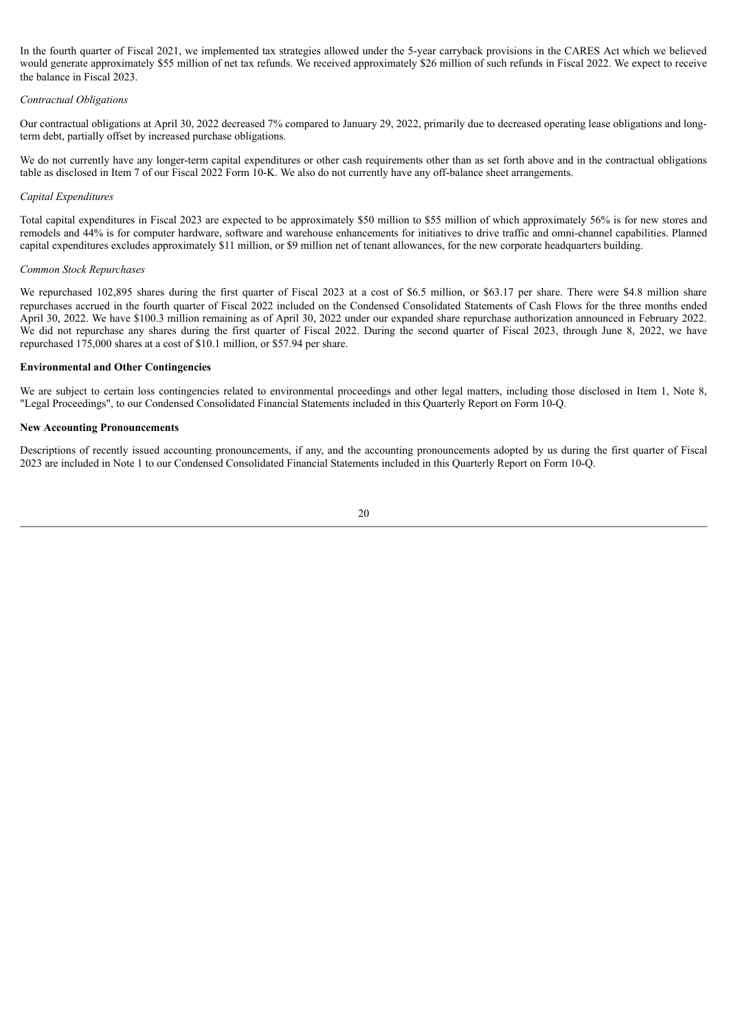In the fourth quarter of Fiscal 2021, we implemented tax strategies allowed under the 5-year carryback provisions in the CARES Act which we believed would generate approximately \$55 million of net tax refunds. We received approximately \$26 million of such refunds in Fiscal 2022. We expect to receive the balance in Fiscal 2023.

# *Contractual Obligations*

Our contractual obligations at April 30, 2022 decreased 7% compared to January 29, 2022, primarily due to decreased operating lease obligations and longterm debt, partially offset by increased purchase obligations.

We do not currently have any longer-term capital expenditures or other cash requirements other than as set forth above and in the contractual obligations table as disclosed in Item 7 of our Fiscal 2022 Form 10-K. We also do not currently have any off-balance sheet arrangements.

# *Capital Expenditures*

Total capital expenditures in Fiscal 2023 are expected to be approximately \$50 million to \$55 million of which approximately 56% is for new stores and remodels and 44% is for computer hardware, software and warehouse enhancements for initiatives to drive traffic and omni-channel capabilities. Planned capital expenditures excludes approximately \$11 million, or \$9 million net of tenant allowances, for the new corporate headquarters building.

#### *Common Stock Repurchases*

We repurchased 102,895 shares during the first quarter of Fiscal 2023 at a cost of \$6.5 million, or \$63.17 per share. There were \$4.8 million share repurchases accrued in the fourth quarter of Fiscal 2022 included on the Condensed Consolidated Statements of Cash Flows for the three months ended April 30, 2022. We have \$100.3 million remaining as of April 30, 2022 under our expanded share repurchase authorization announced in February 2022. We did not repurchase any shares during the first quarter of Fiscal 2022. During the second quarter of Fiscal 2023, through June 8, 2022, we have repurchased 175,000 shares at a cost of \$10.1 million, or \$57.94 per share.

# **Environmental and Other Contingencies**

We are subject to certain loss contingencies related to environmental proceedings and other legal matters, including those disclosed in Item 1, Note 8, "Legal Proceedings", to our Condensed Consolidated Financial Statements included in this Quarterly Report on Form 10-Q.

# **New Accounting Pronouncements**

Descriptions of recently issued accounting pronouncements, if any, and the accounting pronouncements adopted by us during the first quarter of Fiscal 2023 are included in Note 1 to our Condensed Consolidated Financial Statements included in this Quarterly Report on Form 10-Q.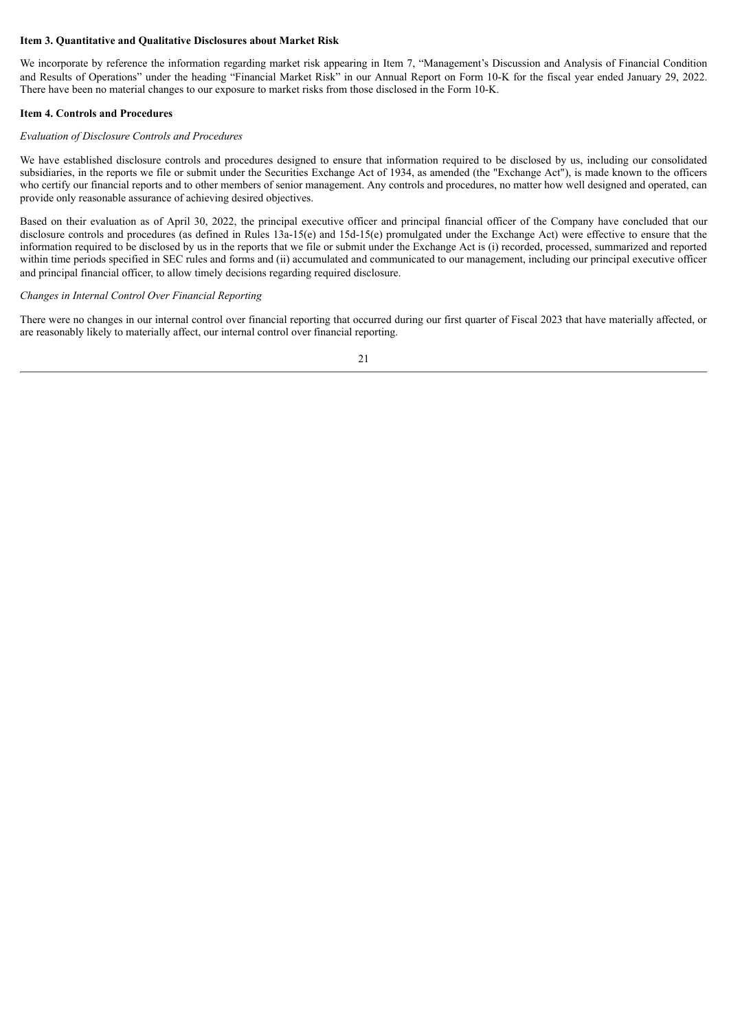# <span id="page-20-0"></span>**Item 3. Quantitative and Qualitative Disclosures about Market Risk**

We incorporate by reference the information regarding market risk appearing in Item 7, "Management's Discussion and Analysis of Financial Condition and Results of Operations" under the heading "Financial Market Risk" in our Annual Report on Form 10-K for the fiscal year ended January 29, 2022. There have been no material changes to our exposure to market risks from those disclosed in the Form 10-K.

# <span id="page-20-1"></span>**Item 4. Controls and Procedures**

# *Evaluation of Disclosure Controls and Procedures*

We have established disclosure controls and procedures designed to ensure that information required to be disclosed by us, including our consolidated subsidiaries, in the reports we file or submit under the Securities Exchange Act of 1934, as amended (the "Exchange Act"), is made known to the officers who certify our financial reports and to other members of senior management. Any controls and procedures, no matter how well designed and operated, can provide only reasonable assurance of achieving desired objectives.

Based on their evaluation as of April 30, 2022, the principal executive officer and principal financial officer of the Company have concluded that our disclosure controls and procedures (as defined in Rules 13a-15(e) and 15d-15(e) promulgated under the Exchange Act) were effective to ensure that the information required to be disclosed by us in the reports that we file or submit under the Exchange Act is (i) recorded, processed, summarized and reported within time periods specified in SEC rules and forms and (ii) accumulated and communicated to our management, including our principal executive officer and principal financial officer, to allow timely decisions regarding required disclosure.

# *Changes in Internal Control Over Financial Reporting*

There were no changes in our internal control over financial reporting that occurred during our first quarter of Fiscal 2023 that have materially affected, or are reasonably likely to materially affect, our internal control over financial reporting.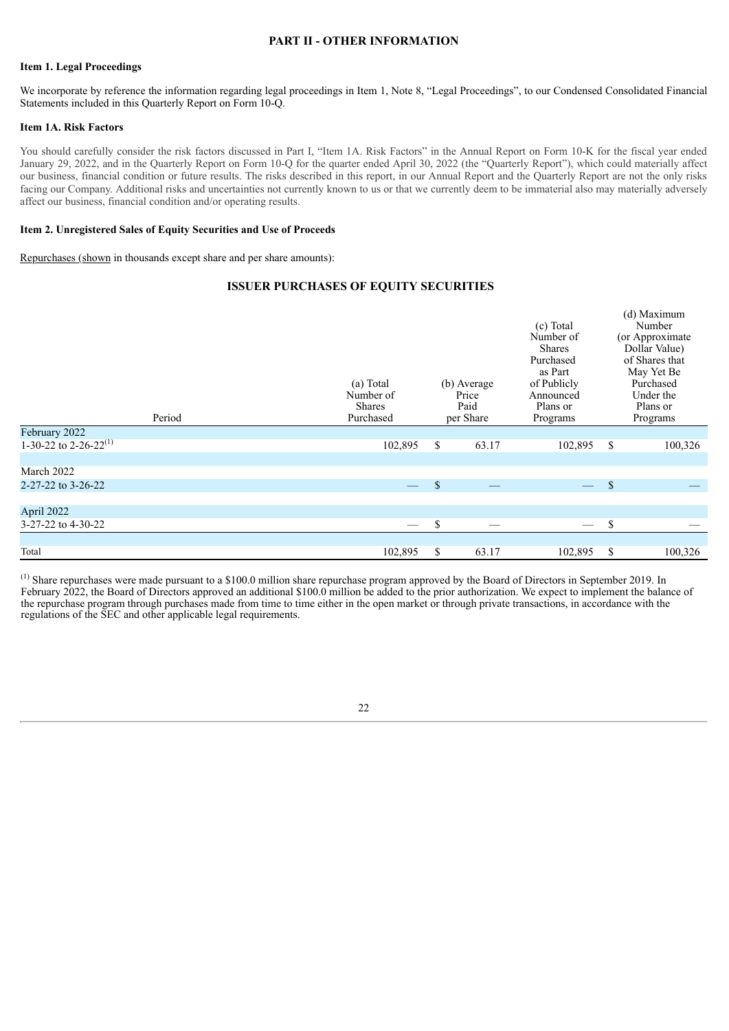# **PART II - OTHER INFORMATION**

#### <span id="page-21-1"></span><span id="page-21-0"></span>**Item 1. Legal Proceedings**

We incorporate by reference the information regarding legal proceedings in Item 1, Note 8, "Legal Proceedings", to our Condensed Consolidated Financial Statements included in this Quarterly Report on Form 10-Q.

# <span id="page-21-2"></span>**Item 1A. Risk Factors**

You should carefully consider the risk factors discussed in Part I, "Item 1A. Risk Factors" in the Annual Report on Form 10-K for the fiscal year ended January 29, 2022, and in the Quarterly Report on Form 10-Q for the quarter ended April 30, 2022 (the "Quarterly Report"), which could materially affect our business, financial condition or future results. The risks described in this report, in our Annual Report and the Quarterly Report are not the only risks facing our Company. Additional risks and uncertainties not currently known to us or that we currently deem to be immaterial also may materially adversely affect our business, financial condition and/or operating results.

# <span id="page-21-3"></span>**Item 2. Unregistered Sales of Equity Securities and Use of Proceeds**

Repurchases (shown in thousands except share and per share amounts):

# **ISSUER PURCHASES OF EQUITY SECURITIES**

| Period                            | (a) Total<br>Number of<br><b>Shares</b><br>Purchased | (b) Average<br>Price<br>Paid<br>per Share | (c) Total<br>Number of<br><b>Shares</b><br>Purchased<br>as Part<br>of Publicly<br>Announced<br>Plans or<br>Programs |               | (d) Maximum<br>Number<br>(or Approximate<br>Dollar Value)<br>of Shares that<br>May Yet Be<br>Purchased<br>Under the<br>Plans or<br>Programs |
|-----------------------------------|------------------------------------------------------|-------------------------------------------|---------------------------------------------------------------------------------------------------------------------|---------------|---------------------------------------------------------------------------------------------------------------------------------------------|
| February 2022                     |                                                      |                                           |                                                                                                                     |               |                                                                                                                                             |
| 1-30-22 to 2-26-22 <sup>(1)</sup> | 102,895                                              | \$<br>63.17                               | 102,895                                                                                                             | \$            | 100,326                                                                                                                                     |
|                                   |                                                      |                                           |                                                                                                                     |               |                                                                                                                                             |
| March 2022                        |                                                      |                                           |                                                                                                                     |               |                                                                                                                                             |
| 2-27-22 to 3-26-22                | $\hspace{0.1mm}-\hspace{0.1mm}$                      | \$                                        | $\overbrace{\phantom{13333}}$                                                                                       | <sup>\$</sup> |                                                                                                                                             |
|                                   |                                                      |                                           |                                                                                                                     |               |                                                                                                                                             |
| April 2022                        |                                                      |                                           |                                                                                                                     |               |                                                                                                                                             |
| 3-27-22 to 4-30-22                | $\hspace{0.05cm}$                                    | \$                                        |                                                                                                                     | <sup>\$</sup> |                                                                                                                                             |
|                                   |                                                      |                                           |                                                                                                                     |               |                                                                                                                                             |
| Total                             | 102,895                                              | \$<br>63.17                               | 102,895                                                                                                             | \$            | 100,326                                                                                                                                     |

 $<sup>(1)</sup>$  Share repurchases were made pursuant to a \$100.0 million share repurchase program approved by the Board of Directors in September 2019. In</sup> February 2022, the Board of Directors approved an additional \$100.0 million be added to the prior authorization. We expect to implement the balance of the repurchase program through purchases made from time to time either in the open market or through private transactions, in accordance with the regulations of the SEC and other applicable legal requirements.

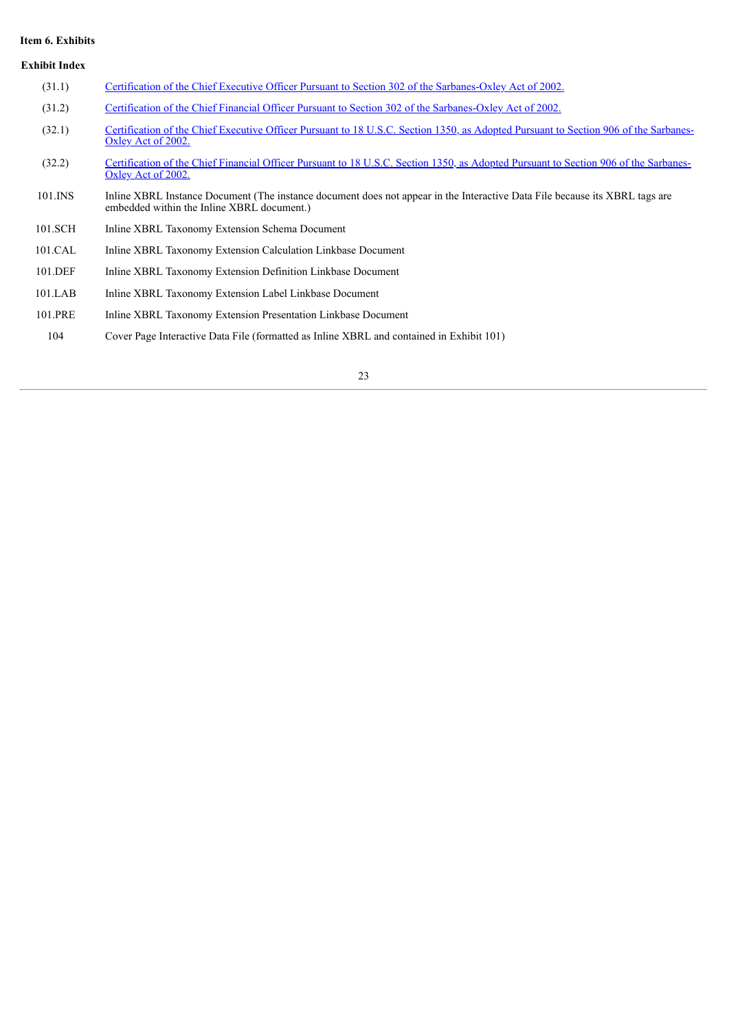# <span id="page-22-0"></span>**Item 6. Exhibits**

# **Exhibit Index**

| (31.1)  | Certification of the Chief Executive Officer Pursuant to Section 302 of the Sarbanes-Oxley Act of 2002.                                                                   |
|---------|---------------------------------------------------------------------------------------------------------------------------------------------------------------------------|
| (31.2)  | Certification of the Chief Financial Officer Pursuant to Section 302 of the Sarbanes-Oxley Act of 2002.                                                                   |
| (32.1)  | Certification of the Chief Executive Officer Pursuant to 18 U.S.C. Section 1350, as Adopted Pursuant to Section 906 of the Sarbanes-<br>Oxley Act of 2002.                |
| (32.2)  | Certification of the Chief Financial Officer Pursuant to 18 U.S.C. Section 1350, as Adopted Pursuant to Section 906 of the Sarbanes-<br>Oxley Act of 2002.                |
| 101.INS | Inline XBRL Instance Document (The instance document does not appear in the Interactive Data File because its XBRL tags are<br>embedded within the Inline XBRL document.) |
| 101.SCH | Inline XBRL Taxonomy Extension Schema Document                                                                                                                            |
| 101.CAL | Inline XBRL Taxonomy Extension Calculation Linkbase Document                                                                                                              |
| 101.DEF | Inline XBRL Taxonomy Extension Definition Linkbase Document                                                                                                               |
| 101.LAB | Inline XBRL Taxonomy Extension Label Linkbase Document                                                                                                                    |
| 101.PRE | Inline XBRL Taxonomy Extension Presentation Linkbase Document                                                                                                             |
| 104     | Cover Page Interactive Data File (formatted as Inline XBRL and contained in Exhibit 101)                                                                                  |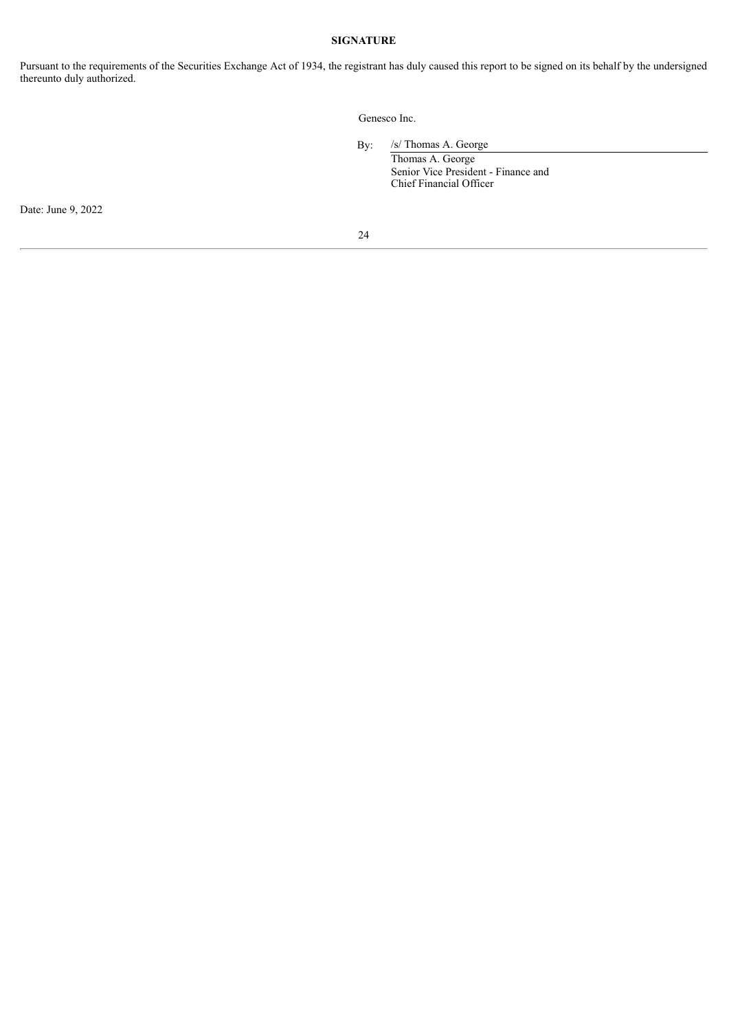# **SIGNATURE**

<span id="page-23-0"></span>Pursuant to the requirements of the Securities Exchange Act of 1934, the registrant has duly caused this report to be signed on its behalf by the undersigned thereunto duly authorized.

Genesco Inc.

By: /s/ Thomas A. George

Thomas A. George Senior Vice President - Finance and Chief Financial Officer

Date: June 9, 2022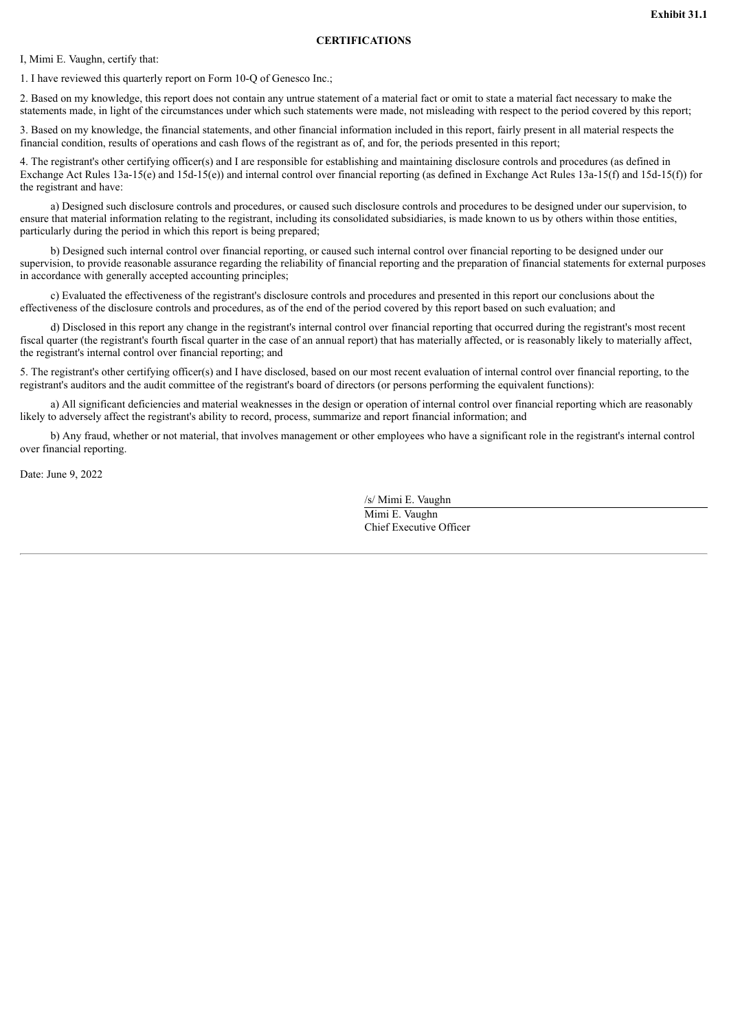# **CERTIFICATIONS**

<span id="page-24-0"></span>I, Mimi E. Vaughn, certify that:

1. I have reviewed this quarterly report on Form 10-Q of Genesco Inc.;

2. Based on my knowledge, this report does not contain any untrue statement of a material fact or omit to state a material fact necessary to make the statements made, in light of the circumstances under which such statements were made, not misleading with respect to the period covered by this report;

3. Based on my knowledge, the financial statements, and other financial information included in this report, fairly present in all material respects the financial condition, results of operations and cash flows of the registrant as of, and for, the periods presented in this report;

4. The registrant's other certifying officer(s) and I are responsible for establishing and maintaining disclosure controls and procedures (as defined in Exchange Act Rules 13a-15(e) and 15d-15(e)) and internal control over financial reporting (as defined in Exchange Act Rules 13a-15(f) and 15d-15(f)) for the registrant and have:

a) Designed such disclosure controls and procedures, or caused such disclosure controls and procedures to be designed under our supervision, to ensure that material information relating to the registrant, including its consolidated subsidiaries, is made known to us by others within those entities, particularly during the period in which this report is being prepared;

b) Designed such internal control over financial reporting, or caused such internal control over financial reporting to be designed under our supervision, to provide reasonable assurance regarding the reliability of financial reporting and the preparation of financial statements for external purposes in accordance with generally accepted accounting principles;

c) Evaluated the effectiveness of the registrant's disclosure controls and procedures and presented in this report our conclusions about the effectiveness of the disclosure controls and procedures, as of the end of the period covered by this report based on such evaluation; and

d) Disclosed in this report any change in the registrant's internal control over financial reporting that occurred during the registrant's most recent fiscal quarter (the registrant's fourth fiscal quarter in the case of an annual report) that has materially affected, or is reasonably likely to materially affect, the registrant's internal control over financial reporting; and

5. The registrant's other certifying officer(s) and I have disclosed, based on our most recent evaluation of internal control over financial reporting, to the registrant's auditors and the audit committee of the registrant's board of directors (or persons performing the equivalent functions):

a) All significant deficiencies and material weaknesses in the design or operation of internal control over financial reporting which are reasonably likely to adversely affect the registrant's ability to record, process, summarize and report financial information; and

b) Any fraud, whether or not material, that involves management or other employees who have a significant role in the registrant's internal control over financial reporting.

Date: June 9, 2022

/s/ Mimi E. Vaughn Mimi E. Vaughn Chief Executive Officer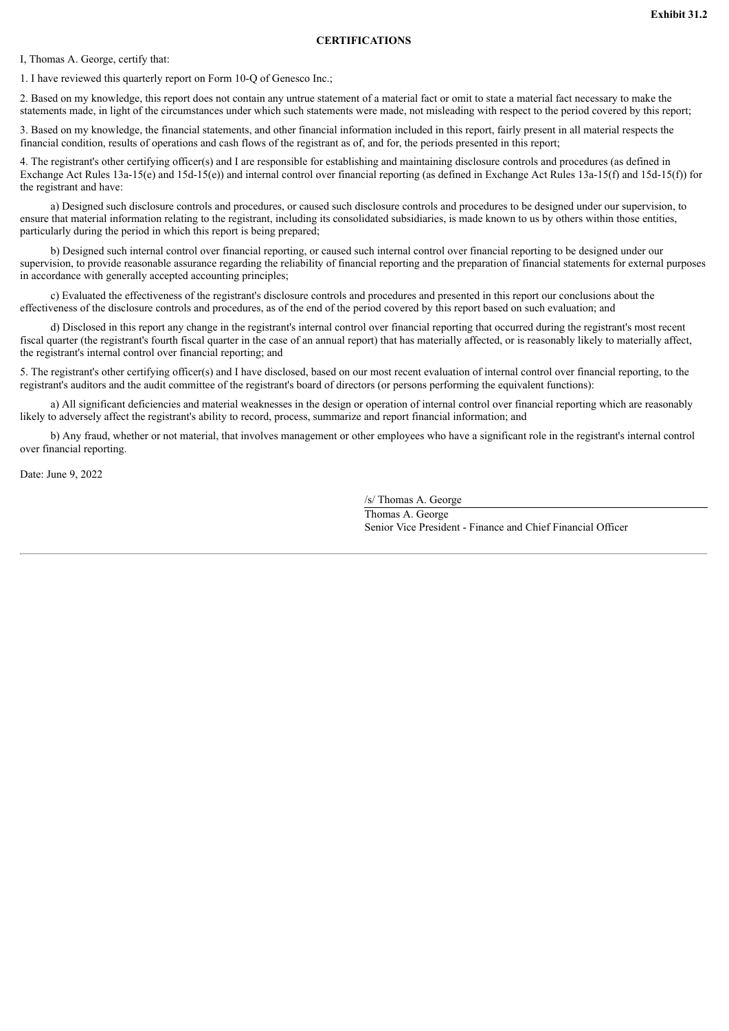# **CERTIFICATIONS**

<span id="page-25-0"></span>I, Thomas A. George, certify that:

1. I have reviewed this quarterly report on Form 10-Q of Genesco Inc.;

2. Based on my knowledge, this report does not contain any untrue statement of a material fact or omit to state a material fact necessary to make the statements made, in light of the circumstances under which such statements were made, not misleading with respect to the period covered by this report;

3. Based on my knowledge, the financial statements, and other financial information included in this report, fairly present in all material respects the financial condition, results of operations and cash flows of the registrant as of, and for, the periods presented in this report;

4. The registrant's other certifying officer(s) and I are responsible for establishing and maintaining disclosure controls and procedures (as defined in Exchange Act Rules 13a-15(e) and 15d-15(e)) and internal control over financial reporting (as defined in Exchange Act Rules 13a-15(f) and 15d-15(f)) for the registrant and have:

a) Designed such disclosure controls and procedures, or caused such disclosure controls and procedures to be designed under our supervision, to ensure that material information relating to the registrant, including its consolidated subsidiaries, is made known to us by others within those entities, particularly during the period in which this report is being prepared;

b) Designed such internal control over financial reporting, or caused such internal control over financial reporting to be designed under our supervision, to provide reasonable assurance regarding the reliability of financial reporting and the preparation of financial statements for external purposes in accordance with generally accepted accounting principles;

c) Evaluated the effectiveness of the registrant's disclosure controls and procedures and presented in this report our conclusions about the effectiveness of the disclosure controls and procedures, as of the end of the period covered by this report based on such evaluation; and

d) Disclosed in this report any change in the registrant's internal control over financial reporting that occurred during the registrant's most recent fiscal quarter (the registrant's fourth fiscal quarter in the case of an annual report) that has materially affected, or is reasonably likely to materially affect, the registrant's internal control over financial reporting; and

5. The registrant's other certifying officer(s) and I have disclosed, based on our most recent evaluation of internal control over financial reporting, to the registrant's auditors and the audit committee of the registrant's board of directors (or persons performing the equivalent functions):

a) All significant deficiencies and material weaknesses in the design or operation of internal control over financial reporting which are reasonably likely to adversely affect the registrant's ability to record, process, summarize and report financial information; and

b) Any fraud, whether or not material, that involves management or other employees who have a significant role in the registrant's internal control over financial reporting.

Date: June 9, 2022

/s/ Thomas A. George

Thomas A. George Senior Vice President - Finance and Chief Financial Officer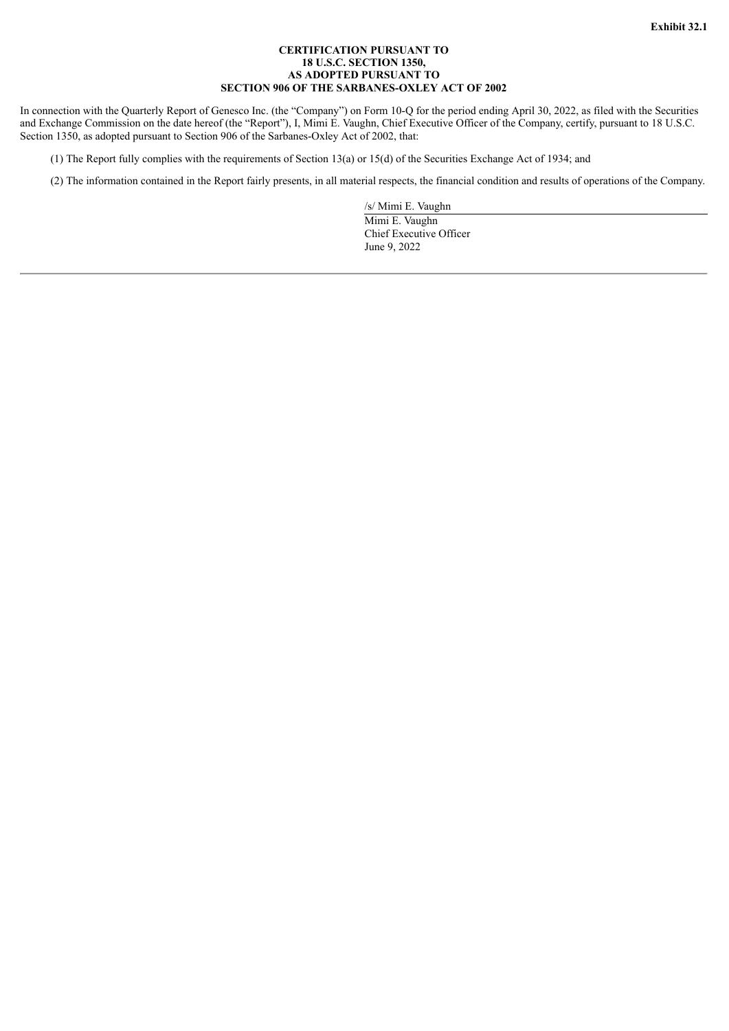# **CERTIFICATION PURSUANT TO 18 U.S.C. SECTION 1350, AS ADOPTED PURSUANT TO SECTION 906 OF THE SARBANES-OXLEY ACT OF 2002**

<span id="page-26-0"></span>In connection with the Quarterly Report of Genesco Inc. (the "Company") on Form 10-Q for the period ending April 30, 2022, as filed with the Securities and Exchange Commission on the date hereof (the "Report"), I, Mimi E. Vaughn, Chief Executive Officer of the Company, certify, pursuant to 18 U.S.C. Section 1350, as adopted pursuant to Section 906 of the Sarbanes-Oxley Act of 2002, that:

(1) The Report fully complies with the requirements of Section 13(a) or 15(d) of the Securities Exchange Act of 1934; and

(2) The information contained in the Report fairly presents, in all material respects, the financial condition and results of operations of the Company.

/s/ Mimi E. Vaughn Mimi E. Vaughn Chief Executive Officer June 9, 2022